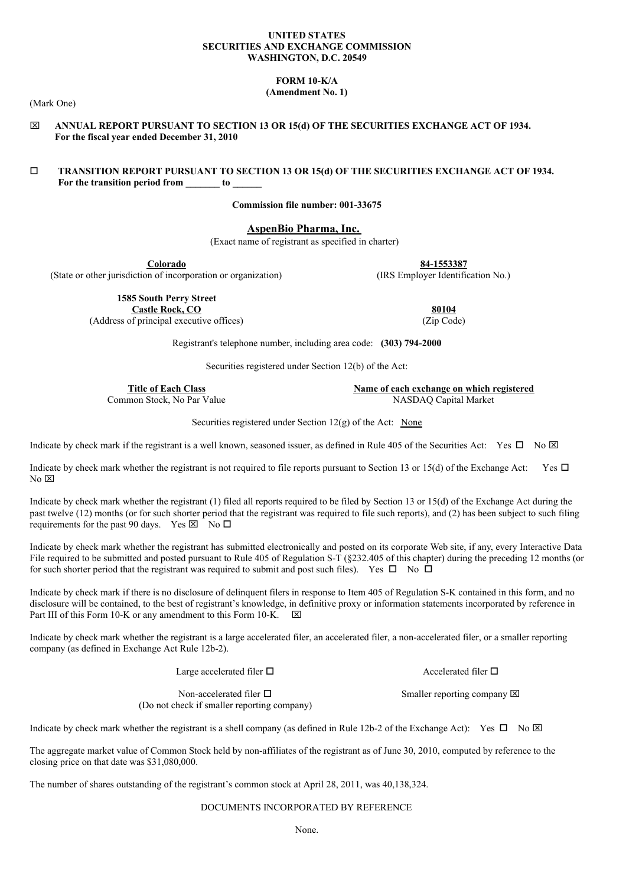#### **UNITED STATES SECURITIES AND EXCHANGE COMMISSION WASHINGTON, D.C. 20549**

**FORM 10-K/A**

**(Amendment No. 1)**

(Mark One)

x **ANNUAL REPORT PURSUANT TO SECTION 13 OR 15(d) OF THE SECURITIES EXCHANGE ACT OF 1934. For the fiscal year ended December 31, 2010**

# o **TRANSITION REPORT PURSUANT TO SECTION 13 OR 15(d) OF THE SECURITIES EXCHANGE ACT OF 1934. For the transition period from \_\_\_\_\_\_\_ to \_\_\_\_\_\_**

**Commission file number: 001-33675**

# **AspenBio Pharma, Inc.**

(Exact name of registrant as specified in charter)

**Colorado**<br>
on of incorporation or organization
(IRS Employer Identification No.) (State or other jurisdiction of incorporation or organization)

> **1585 South Perry Street Castle Rock, CO 80104**

(Address of principal executive offices) (Zip Code)

Registrant's telephone number, including area code: **(303) 794-2000**

Securities registered under Section 12(b) of the Act:

Common Stock, No Par Value

**Title of Each Class**<br> **Name of each exchange on which registered**<br> **NASDAO Capital Market** 

Securities registered under Section 12(g) of the Act: None

Indicate by check mark if the registrant is a well known, seasoned issuer, as defined in Rule 405 of the Securities Act: Yes  $\Box$  No  $\boxtimes$ 

Indicate by check mark whether the registrant is not required to file reports pursuant to Section 13 or 15(d) of the Exchange Act: Yes  $\Box$  $No$   $\boxtimes$ 

Indicate by check mark whether the registrant (1) filed all reports required to be filed by Section 13 or 15(d) of the Exchange Act during the past twelve (12) months (or for such shorter period that the registrant was required to file such reports), and (2) has been subject to such filing requirements for the past 90 days. Yes  $\boxtimes \overline{\phantom{a}}$  No  $\Box$ 

Indicate by check mark whether the registrant has submitted electronically and posted on its corporate Web site, if any, every Interactive Data File required to be submitted and posted pursuant to Rule 405 of Regulation S-T (§232.405 of this chapter) during the preceding 12 months (or for such shorter period that the registrant was required to submit and post such files). Yes  $\Box$  No  $\Box$ 

Indicate by check mark if there is no disclosure of delinquent filers in response to Item 405 of Regulation S-K contained in this form, and no disclosure will be contained, to the best of registrant's knowledge, in definitive proxy or information statements incorporated by reference in Part III of this Form 10-K or any amendment to this Form 10-K.  $\boxtimes$ 

Indicate by check mark whether the registrant is a large accelerated filer, an accelerated filer, a non-accelerated filer, or a smaller reporting company (as defined in Exchange Act Rule 12b-2).

Large accelerated filer  $\Box$ 

Smaller reporting company  $\boxtimes$ 

Accelerated filer  $\Box$ 

Non-accelerated filer  $\Box$ (Do not check if smaller reporting company)

Indicate by check mark whether the registrant is a shell company (as defined in Rule 12b-2 of the Exchange Act): Yes  $\Box$  No  $\boxtimes$ 

The aggregate market value of Common Stock held by non-affiliates of the registrant as of June 30, 2010, computed by reference to the closing price on that date was \$31,080,000.

The number of shares outstanding of the registrant's common stock at April 28, 2011, was 40,138,324.

DOCUMENTS INCORPORATED BY REFERENCE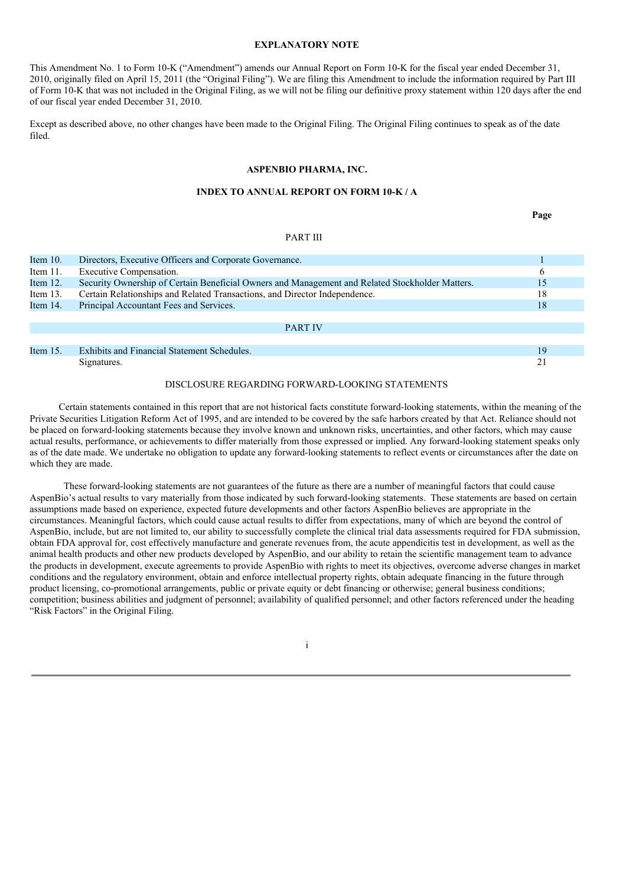# **EXPLANATORY NOTE**

This Amendment No. 1 to Form 10-K ("Amendment") amends our Annual Report on Form 10-K for the fiscal year ended December 31, 2010, originally filed on April 15, 2011 (the "Original Filing"). We are filing this Amendment to include the information required by Part III of Form 10-K that was not included in the Original Filing, as we will not be filing our definitive proxy statement within 120 days after the end of our fiscal year ended December 31, 2010.

Except as described above, no other changes have been made to the Original Filing. The Original Filing continues to speak as of the date filed.

# **ASPENBIO PHARMA, INC.**

# **INDEX TO ANNUAL REPORT ON FORM 10-K / A**

**Page**

#### PART III

| Item $10$ . | Directors, Executive Officers and Corporate Governance.                                         |    |
|-------------|-------------------------------------------------------------------------------------------------|----|
| Item $11$ . | Executive Compensation.                                                                         | 6  |
| Item $12$ . | Security Ownership of Certain Beneficial Owners and Management and Related Stockholder Matters. | 15 |
| Item $13$ . | Certain Relationships and Related Transactions, and Director Independence.                      | 18 |
| Item 14.    | Principal Accountant Fees and Services.                                                         | 18 |
|             |                                                                                                 |    |
|             | <b>PART IV</b>                                                                                  |    |
|             |                                                                                                 |    |
| Item $15$ . | Exhibits and Financial Statement Schedules.                                                     | 19 |
|             | Signatures.                                                                                     |    |

# DISCLOSURE REGARDING FORWARD-LOOKING STATEMENTS

Certain statements contained in this report that are not historical facts constitute forward-looking statements, within the meaning of the Private Securities Litigation Reform Act of 1995, and are intended to be covered by the safe harbors created by that Act. Reliance should not be placed on forward-looking statements because they involve known and unknown risks, uncertainties, and other factors, which may cause actual results, performance, or achievements to differ materially from those expressed or implied. Any forward-looking statement speaks only as of the date made. We undertake no obligation to update any forward-looking statements to reflect events or circumstances after the date on which they are made.

These forward-looking statements are not guarantees of the future as there are a number of meaningful factors that could cause AspenBio's actual results to vary materially from those indicated by such forward-looking statements. These statements are based on certain assumptions made based on experience, expected future developments and other factors AspenBio believes are appropriate in the circumstances. Meaningful factors, which could cause actual results to differ from expectations, many of which are beyond the control of AspenBio, include, but are not limited to, our ability to successfully complete the clinical trial data assessments required for FDA submission, obtain FDA approval for, cost effectively manufacture and generate revenues from, the acute appendicitis test in development, as well as the animal health products and other new products developed by AspenBio, and our ability to retain the scientific management team to advance the products in development, execute agreements to provide AspenBio with rights to meet its objectives, overcome adverse changes in market conditions and the regulatory environment, obtain and enforce intellectual property rights, obtain adequate financing in the future through product licensing, co-promotional arrangements, public or private equity or debt financing or otherwise; general business conditions; competition; business abilities and judgment of personnel; availability of qualified personnel; and other factors referenced under the heading "Risk Factors" in the Original Filing.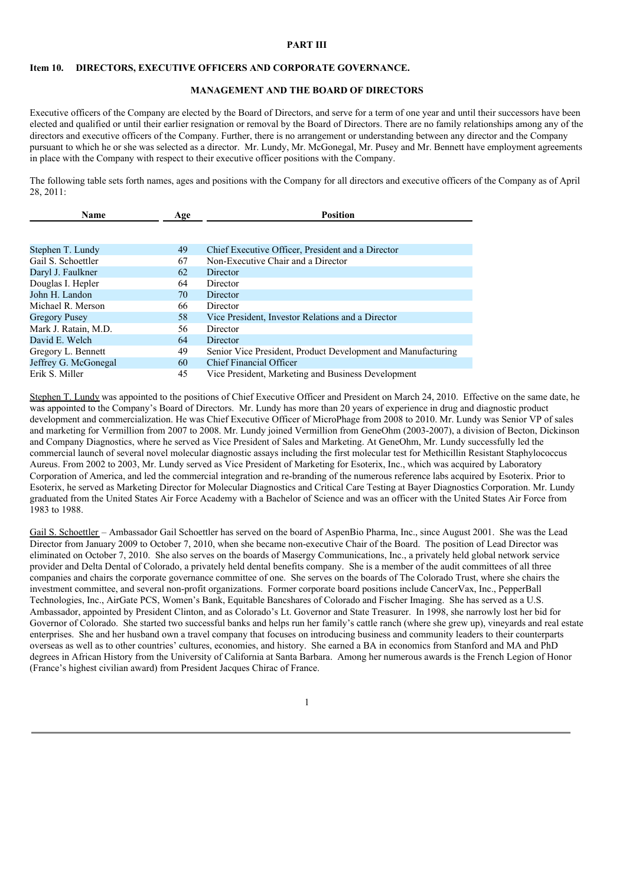### **PART III**

#### **Item 10. DIRECTORS, EXECUTIVE OFFICERS AND CORPORATE GOVERNANCE.**

### **MANAGEMENT AND THE BOARD OF DIRECTORS**

Executive officers of the Company are elected by the Board of Directors, and serve for a term of one year and until their successors have been elected and qualified or until their earlier resignation or removal by the Board of Directors. There are no family relationships among any of the directors and executive officers of the Company. Further, there is no arrangement or understanding between any director and the Company pursuant to which he or she was selected as a director. Mr. Lundy, Mr. McGonegal, Mr. Pusey and Mr. Bennett have employment agreements in place with the Company with respect to their executive officer positions with the Company.

The following table sets forth names, ages and positions with the Company for all directors and executive officers of the Company as of April 28, 2011:

| Name                 | Age | <b>Position</b>                                              |  |  |  |
|----------------------|-----|--------------------------------------------------------------|--|--|--|
|                      |     |                                                              |  |  |  |
|                      |     |                                                              |  |  |  |
| Stephen T. Lundy     | 49  | Chief Executive Officer, President and a Director            |  |  |  |
| Gail S. Schoettler   | 67  | Non-Executive Chair and a Director                           |  |  |  |
| Daryl J. Faulkner    | 62  | Director                                                     |  |  |  |
| Douglas I. Hepler    | 64  | Director                                                     |  |  |  |
| John H. Landon       | 70  | Director                                                     |  |  |  |
| Michael R. Merson    | 66  | Director                                                     |  |  |  |
| <b>Gregory Pusey</b> | 58  | Vice President, Investor Relations and a Director            |  |  |  |
| Mark J. Ratain, M.D. | 56  | Director                                                     |  |  |  |
| David E. Welch       | 64  | Director                                                     |  |  |  |
| Gregory L. Bennett   | 49  | Senior Vice President, Product Development and Manufacturing |  |  |  |
| Jeffrey G. McGonegal | 60  | <b>Chief Financial Officer</b>                               |  |  |  |
| Erik S. Miller       | 45  | Vice President, Marketing and Business Development           |  |  |  |

Stephen T. Lundy was appointed to the positions of Chief Executive Officer and President on March 24, 2010. Effective on the same date, he was appointed to the Company's Board of Directors. Mr. Lundy has more than 20 years of experience in drug and diagnostic product development and commercialization. He was Chief Executive Officer of MicroPhage from 2008 to 2010. Mr. Lundy was Senior VP of sales and marketing for Vermillion from 2007 to 2008. Mr. Lundy joined Vermillion from GeneOhm (2003-2007), a division of Becton, Dickinson and Company Diagnostics, where he served as Vice President of Sales and Marketing. At GeneOhm, Mr. Lundy successfully led the commercial launch of several novel molecular diagnostic assays including the first molecular test for Methicillin Resistant Staphylococcus Aureus. From 2002 to 2003, Mr. Lundy served as Vice President of Marketing for Esoterix, Inc., which was acquired by Laboratory Corporation of America, and led the commercial integration and re-branding of the numerous reference labs acquired by Esoterix. Prior to Esoterix, he served as Marketing Director for Molecular Diagnostics and Critical Care Testing at Bayer Diagnostics Corporation. Mr. Lundy graduated from the United States Air Force Academy with a Bachelor of Science and was an officer with the United States Air Force from 1983 to 1988.

Gail S. Schoettler – Ambassador Gail Schoettler has served on the board of AspenBio Pharma, Inc., since August 2001. She was the Lead Director from January 2009 to October 7, 2010, when she became non-executive Chair of the Board. The position of Lead Director was eliminated on October 7, 2010. She also serves on the boards of Masergy Communications, Inc., a privately held global network service provider and Delta Dental of Colorado, a privately held dental benefits company. She is a member of the audit committees of all three companies and chairs the corporate governance committee of one. She serves on the boards of The Colorado Trust, where she chairs the investment committee, and several non-profit organizations. Former corporate board positions include CancerVax, Inc., PepperBall Technologies, Inc., AirGate PCS, Women's Bank, Equitable Bancshares of Colorado and Fischer Imaging. She has served as a U.S. Ambassador, appointed by President Clinton, and as Colorado's Lt. Governor and State Treasurer. In 1998, she narrowly lost her bid for Governor of Colorado. She started two successful banks and helps run her family's cattle ranch (where she grew up), vineyards and real estate enterprises. She and her husband own a travel company that focuses on introducing business and community leaders to their counterparts overseas as well as to other countries' cultures, economies, and history. She earned a BA in economics from Stanford and MA and PhD degrees in African History from the University of California at Santa Barbara. Among her numerous awards is the French Legion of Honor (France's highest civilian award) from President Jacques Chirac of France.

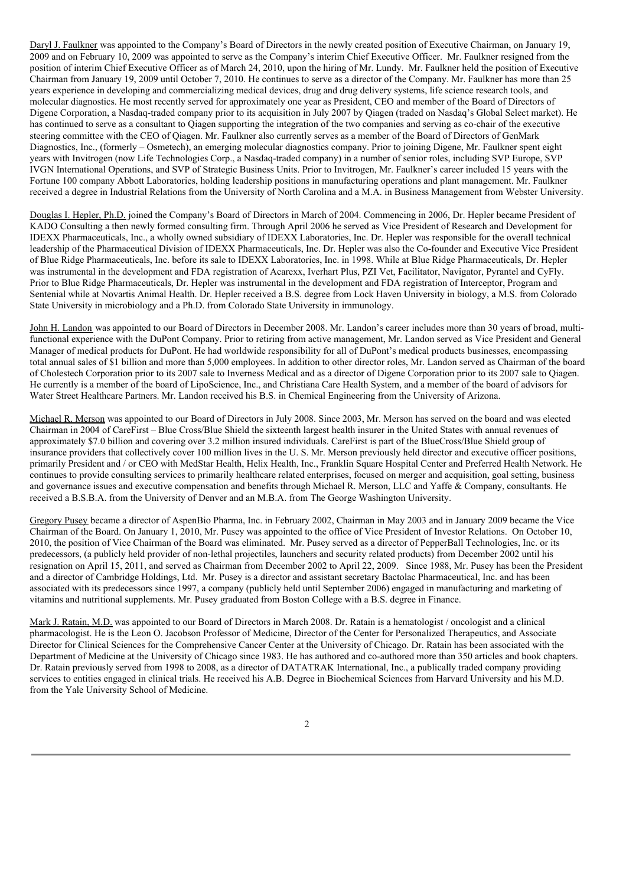Daryl J. Faulkner was appointed to the Company's Board of Directors in the newly created position of Executive Chairman, on January 19, 2009 and on February 10, 2009 was appointed to serve as the Company's interim Chief Executive Officer. Mr. Faulkner resigned from the position of interim Chief Executive Officer as of March 24, 2010, upon the hiring of Mr. Lundy. Mr. Faulkner held the position of Executive Chairman from January 19, 2009 until October 7, 2010. He continues to serve as a director of the Company. Mr. Faulkner has more than 25 years experience in developing and commercializing medical devices, drug and drug delivery systems, life science research tools, and molecular diagnostics. He most recently served for approximately one year as President, CEO and member of the Board of Directors of Digene Corporation, a Nasdaq-traded company prior to its acquisition in July 2007 by Qiagen (traded on Nasdaq's Global Select market). He has continued to serve as a consultant to Qiagen supporting the integration of the two companies and serving as co-chair of the executive steering committee with the CEO of Qiagen. Mr. Faulkner also currently serves as a member of the Board of Directors of GenMark Diagnostics, Inc., (formerly – Osmetech), an emerging molecular diagnostics company. Prior to joining Digene, Mr. Faulkner spent eight years with Invitrogen (now Life Technologies Corp., a Nasdaq-traded company) in a number of senior roles, including SVP Europe, SVP IVGN International Operations, and SVP of Strategic Business Units. Prior to Invitrogen, Mr. Faulkner's career included 15 years with the Fortune 100 company Abbott Laboratories, holding leadership positions in manufacturing operations and plant management. Mr. Faulkner received a degree in Industrial Relations from the University of North Carolina and a M.A. in Business Management from Webster University.

Douglas I. Hepler, Ph.D. joined the Company's Board of Directors in March of 2004. Commencing in 2006, Dr. Hepler became President of KADO Consulting a then newly formed consulting firm. Through April 2006 he served as Vice President of Research and Development for IDEXX Pharmaceuticals, Inc., a wholly owned subsidiary of IDEXX Laboratories, Inc. Dr. Hepler was responsible for the overall technical leadership of the Pharmaceutical Division of IDEXX Pharmaceuticals, Inc. Dr. Hepler was also the Co-founder and Executive Vice President of Blue Ridge Pharmaceuticals, Inc. before its sale to IDEXX Laboratories, Inc. in 1998. While at Blue Ridge Pharmaceuticals, Dr. Hepler was instrumental in the development and FDA registration of Acarexx, Iverhart Plus, PZI Vet, Facilitator, Navigator, Pyrantel and CyFly. Prior to Blue Ridge Pharmaceuticals, Dr. Hepler was instrumental in the development and FDA registration of Interceptor, Program and Sentenial while at Novartis Animal Health. Dr. Hepler received a B.S. degree from Lock Haven University in biology, a M.S. from Colorado State University in microbiology and a Ph.D. from Colorado State University in immunology.

John H. Landon was appointed to our Board of Directors in December 2008. Mr. Landon's career includes more than 30 years of broad, multifunctional experience with the DuPont Company. Prior to retiring from active management, Mr. Landon served as Vice President and General Manager of medical products for DuPont. He had worldwide responsibility for all of DuPont's medical products businesses, encompassing total annual sales of \$1 billion and more than 5,000 employees. In addition to other director roles, Mr. Landon served as Chairman of the board of Cholestech Corporation prior to its 2007 sale to Inverness Medical and as a director of Digene Corporation prior to its 2007 sale to Qiagen. He currently is a member of the board of LipoScience, Inc., and Christiana Care Health System, and a member of the board of advisors for Water Street Healthcare Partners. Mr. Landon received his B.S. in Chemical Engineering from the University of Arizona.

Michael R. Merson was appointed to our Board of Directors in July 2008. Since 2003, Mr. Merson has served on the board and was elected Chairman in 2004 of CareFirst – Blue Cross/Blue Shield the sixteenth largest health insurer in the United States with annual revenues of approximately \$7.0 billion and covering over 3.2 million insured individuals. CareFirst is part of the BlueCross/Blue Shield group of insurance providers that collectively cover 100 million lives in the U. S. Mr. Merson previously held director and executive officer positions, primarily President and / or CEO with MedStar Health, Helix Health, Inc., Franklin Square Hospital Center and Preferred Health Network. He continues to provide consulting services to primarily healthcare related enterprises, focused on merger and acquisition, goal setting, business and governance issues and executive compensation and benefits through Michael R. Merson, LLC and Yaffe & Company, consultants. He received a B.S.B.A. from the University of Denver and an M.B.A. from The George Washington University.

Gregory Pusey became a director of AspenBio Pharma, Inc. in February 2002, Chairman in May 2003 and in January 2009 became the Vice Chairman of the Board. On January 1, 2010, Mr. Pusey was appointed to the office of Vice President of Investor Relations. On October 10, 2010, the position of Vice Chairman of the Board was eliminated. Mr. Pusey served as a director of PepperBall Technologies, Inc. or its predecessors, (a publicly held provider of non-lethal projectiles, launchers and security related products) from December 2002 until his resignation on April 15, 2011, and served as Chairman from December 2002 to April 22, 2009. Since 1988, Mr. Pusey has been the President and a director of Cambridge Holdings, Ltd. Mr. Pusey is a director and assistant secretary Bactolac Pharmaceutical, Inc. and has been associated with its predecessors since 1997, a company (publicly held until September 2006) engaged in manufacturing and marketing of vitamins and nutritional supplements. Mr. Pusey graduated from Boston College with a B.S. degree in Finance.

Mark J. Ratain, M.D. was appointed to our Board of Directors in March 2008. Dr. Ratain is a hematologist / oncologist and a clinical pharmacologist. He is the Leon O. Jacobson Professor of Medicine, Director of the Center for Personalized Therapeutics, and Associate Director for Clinical Sciences for the Comprehensive Cancer Center at the University of Chicago. Dr. Ratain has been associated with the Department of Medicine at the University of Chicago since 1983. He has authored and co-authored more than 350 articles and book chapters. Dr. Ratain previously served from 1998 to 2008, as a director of DATATRAK International, Inc., a publically traded company providing services to entities engaged in clinical trials. He received his A.B. Degree in Biochemical Sciences from Harvard University and his M.D. from the Yale University School of Medicine.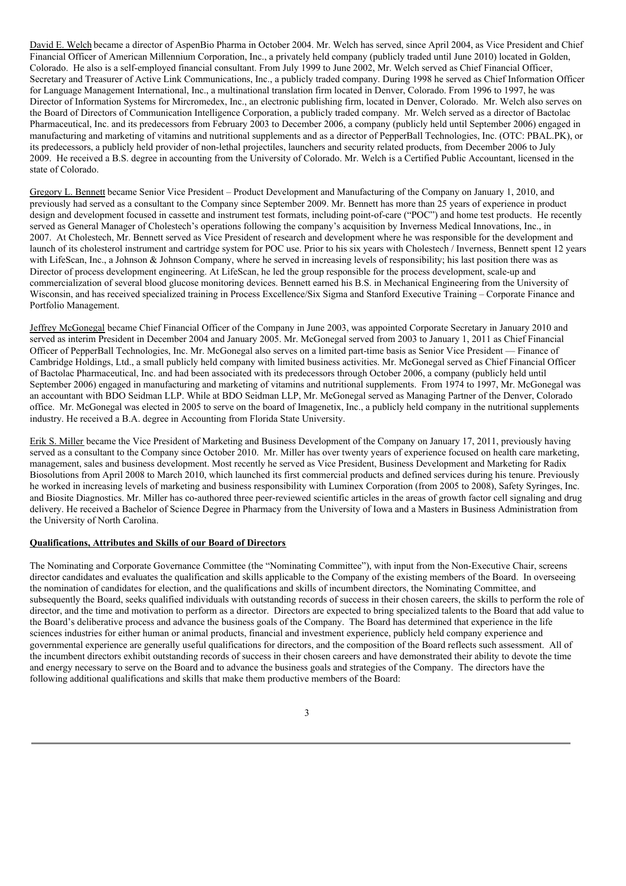David E. Welchbecame a director of AspenBio Pharma in October 2004. Mr. Welch has served, since April 2004, as Vice President and Chief Financial Officer of American Millennium Corporation, Inc., a privately held company (publicly traded until June 2010) located in Golden, Colorado. He also is a self-employed financial consultant. From July 1999 to June 2002, Mr. Welch served as Chief Financial Officer, Secretary and Treasurer of Active Link Communications, Inc., a publicly traded company. During 1998 he served as Chief Information Officer for Language Management International, Inc., a multinational translation firm located in Denver, Colorado. From 1996 to 1997, he was Director of Information Systems for Mircromedex, Inc., an electronic publishing firm, located in Denver, Colorado. Mr. Welch also serves on the Board of Directors of Communication Intelligence Corporation, a publicly traded company. Mr. Welch served as a director of Bactolac Pharmaceutical, Inc. and its predecessors from February 2003 to December 2006, a company (publicly held until September 2006) engaged in manufacturing and marketing of vitamins and nutritional supplements and as a director of PepperBall Technologies, Inc. (OTC: PBAL.PK), or its predecessors, a publicly held provider of non-lethal projectiles, launchers and security related products, from December 2006 to July 2009. He received a B.S. degree in accounting from the University of Colorado. Mr. Welch is a Certified Public Accountant, licensed in the state of Colorado.

Gregory L. Bennett became Senior Vice President – Product Development and Manufacturing of the Company on January 1, 2010, and previously had served as a consultant to the Company since September 2009. Mr. Bennett has more than 25 years of experience in product design and development focused in cassette and instrument test formats, including point-of-care ("POC") and home test products. He recently served as General Manager of Cholestech's operations following the company's acquisition by Inverness Medical Innovations, Inc., in 2007. At Cholestech, Mr. Bennett served as Vice President of research and development where he was responsible for the development and launch of its cholesterol instrument and cartridge system for POC use. Prior to his six years with Cholestech / Inverness, Bennett spent 12 years with LifeScan, Inc., a Johnson & Johnson Company, where he served in increasing levels of responsibility; his last position there was as Director of process development engineering. At LifeScan, he led the group responsible for the process development, scale-up and commercialization of several blood glucose monitoring devices. Bennett earned his B.S. in Mechanical Engineering from the University of Wisconsin, and has received specialized training in Process Excellence/Six Sigma and Stanford Executive Training – Corporate Finance and Portfolio Management.

Jeffrey McGonegal became Chief Financial Officer of the Company in June 2003, was appointed Corporate Secretary in January 2010 and served as interim President in December 2004 and January 2005. Mr. McGonegal served from 2003 to January 1, 2011 as Chief Financial Officer of PepperBall Technologies, Inc. Mr. McGonegal also serves on a limited part-time basis as Senior Vice President — Finance of Cambridge Holdings, Ltd., a small publicly held company with limited business activities. Mr. McGonegal served as Chief Financial Officer of Bactolac Pharmaceutical, Inc. and had been associated with its predecessors through October 2006, a company (publicly held until September 2006) engaged in manufacturing and marketing of vitamins and nutritional supplements. From 1974 to 1997, Mr. McGonegal was an accountant with BDO Seidman LLP. While at BDO Seidman LLP, Mr. McGonegal served as Managing Partner of the Denver, Colorado office. Mr. McGonegal was elected in 2005 to serve on the board of Imagenetix, Inc., a publicly held company in the nutritional supplements industry. He received a B.A. degree in Accounting from Florida State University.

Erik S. Miller became the Vice President of Marketing and Business Development of the Company on January 17, 2011, previously having served as a consultant to the Company since October 2010. Mr. Miller has over twenty years of experience focused on health care marketing, management, sales and business development. Most recently he served as Vice President, Business Development and Marketing for Radix Biosolutions from April 2008 to March 2010, which launched its first commercial products and defined services during his tenure. Previously he worked in increasing levels of marketing and business responsibility with Luminex Corporation (from 2005 to 2008), Safety Syringes, Inc. and Biosite Diagnostics. Mr. Miller has co-authored three peer-reviewed scientific articles in the areas of growth factor cell signaling and drug delivery. He received a Bachelor of Science Degree in Pharmacy from the University of Iowa and a Masters in Business Administration from the University of North Carolina.

### **Qualifications, Attributes and Skills of our Board of Directors**

The Nominating and Corporate Governance Committee (the "Nominating Committee"), with input from the Non-Executive Chair, screens director candidates and evaluates the qualification and skills applicable to the Company of the existing members of the Board. In overseeing the nomination of candidates for election, and the qualifications and skills of incumbent directors, the Nominating Committee, and subsequently the Board, seeks qualified individuals with outstanding records of success in their chosen careers, the skills to perform the role of director, and the time and motivation to perform as a director. Directors are expected to bring specialized talents to the Board that add value to the Board's deliberative process and advance the business goals of the Company. The Board has determined that experience in the life sciences industries for either human or animal products, financial and investment experience, publicly held company experience and governmental experience are generally useful qualifications for directors, and the composition of the Board reflects such assessment. All of the incumbent directors exhibit outstanding records of success in their chosen careers and have demonstrated their ability to devote the time and energy necessary to serve on the Board and to advance the business goals and strategies of the Company. The directors have the following additional qualifications and skills that make them productive members of the Board: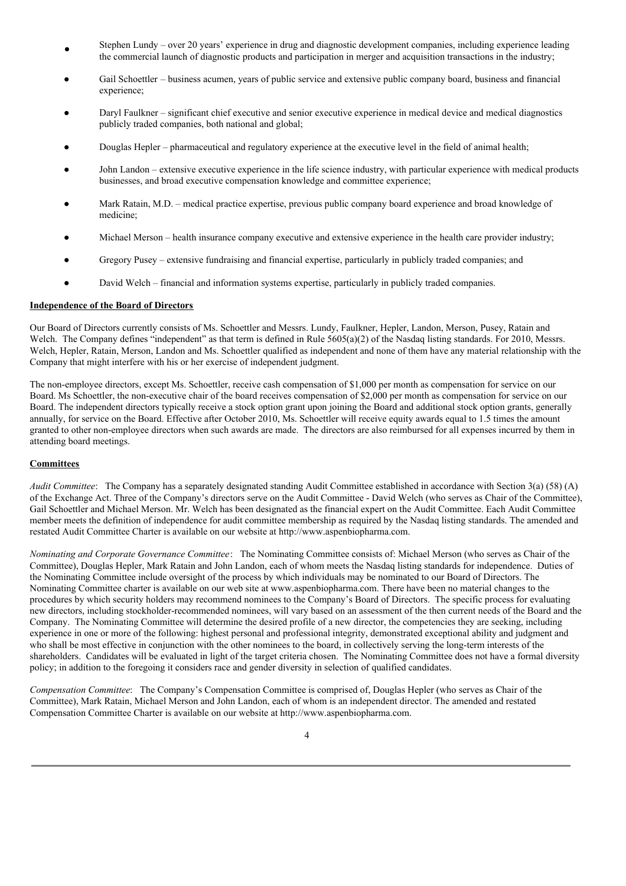- Stephen Lundy – over 20 years' experience in drug and diagnostic development companies, including experience leading the commercial launch of diagnostic products and participation in merger and acquisition transactions in the industry;
- Gail Schoettler business acumen, years of public service and extensive public company board, business and financial experience;
- Daryl Faulkner significant chief executive and senior executive experience in medical device and medical diagnostics publicly traded companies, both national and global;
- Douglas Hepler pharmaceutical and regulatory experience at the executive level in the field of animal health;
- John Landon extensive executive experience in the life science industry, with particular experience with medical products businesses, and broad executive compensation knowledge and committee experience;
- Mark Ratain, M.D. medical practice expertise, previous public company board experience and broad knowledge of medicine;
- Michael Merson health insurance company executive and extensive experience in the health care provider industry;
- Gregory Pusey extensive fundraising and financial expertise, particularly in publicly traded companies; and
- David Welch financial and information systems expertise, particularly in publicly traded companies.

#### **Independence of the Board of Directors**

Our Board of Directors currently consists of Ms. Schoettler and Messrs. Lundy, Faulkner, Hepler, Landon, Merson, Pusey, Ratain and Welch. The Company defines "independent" as that term is defined in Rule 5605(a)(2) of the Nasdaq listing standards. For 2010, Messrs. Welch, Hepler, Ratain, Merson, Landon and Ms. Schoettler qualified as independent and none of them have any material relationship with the Company that might interfere with his or her exercise of independent judgment.

The non-employee directors, except Ms. Schoettler, receive cash compensation of \$1,000 per month as compensation for service on our Board. Ms Schoettler, the non-executive chair of the board receives compensation of \$2,000 per month as compensation for service on our Board. The independent directors typically receive a stock option grant upon joining the Board and additional stock option grants, generally annually, for service on the Board. Effective after October 2010, Ms. Schoettler will receive equity awards equal to 1.5 times the amount granted to other non-employee directors when such awards are made. The directors are also reimbursed for all expenses incurred by them in attending board meetings.

### **Committees**

*Audit Committee*: The Company has a separately designated standing Audit Committee established in accordance with Section 3(a) (58) (A) of the Exchange Act. Three of the Company's directors serve on the Audit Committee - David Welch (who serves as Chair of the Committee), Gail Schoettler and Michael Merson. Mr. Welch has been designated as the financial expert on the Audit Committee. Each Audit Committee member meets the definition of independence for audit committee membership as required by the Nasdaq listing standards. The amended and restated Audit Committee Charter is available on our website at http://www.aspenbiopharma.com.

*Nominating and Corporate Governance Committee*: The Nominating Committee consists of: Michael Merson (who serves as Chair of the Committee), Douglas Hepler, Mark Ratain and John Landon, each of whom meets the Nasdaq listing standards for independence. Duties of the Nominating Committee include oversight of the process by which individuals may be nominated to our Board of Directors. The Nominating Committee charter is available on our web site at www.aspenbiopharma.com. There have been no material changes to the procedures by which security holders may recommend nominees to the Company's Board of Directors. The specific process for evaluating new directors, including stockholder-recommended nominees, will vary based on an assessment of the then current needs of the Board and the Company. The Nominating Committee will determine the desired profile of a new director, the competencies they are seeking, including experience in one or more of the following: highest personal and professional integrity, demonstrated exceptional ability and judgment and who shall be most effective in conjunction with the other nominees to the board, in collectively serving the long-term interests of the shareholders. Candidates will be evaluated in light of the target criteria chosen. The Nominating Committee does not have a formal diversity policy; in addition to the foregoing it considers race and gender diversity in selection of qualified candidates.

*Compensation Committee*: The Company's Compensation Committee is comprised of, Douglas Hepler (who serves as Chair of the Committee), Mark Ratain, Michael Merson and John Landon, each of whom is an independent director. The amended and restated Compensation Committee Charter is available on our website at http://www.aspenbiopharma.com.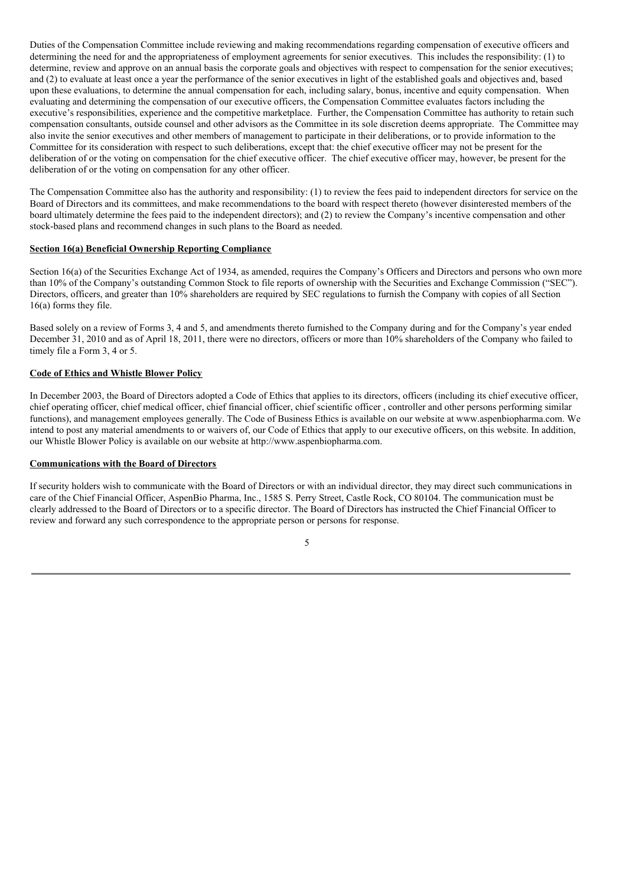Duties of the Compensation Committee include reviewing and making recommendations regarding compensation of executive officers and determining the need for and the appropriateness of employment agreements for senior executives. This includes the responsibility: (1) to determine, review and approve on an annual basis the corporate goals and objectives with respect to compensation for the senior executives; and (2) to evaluate at least once a year the performance of the senior executives in light of the established goals and objectives and, based upon these evaluations, to determine the annual compensation for each, including salary, bonus, incentive and equity compensation. When evaluating and determining the compensation of our executive officers, the Compensation Committee evaluates factors including the executive's responsibilities, experience and the competitive marketplace. Further, the Compensation Committee has authority to retain such compensation consultants, outside counsel and other advisors as the Committee in its sole discretion deems appropriate. The Committee may also invite the senior executives and other members of management to participate in their deliberations, or to provide information to the Committee for its consideration with respect to such deliberations, except that: the chief executive officer may not be present for the deliberation of or the voting on compensation for the chief executive officer. The chief executive officer may, however, be present for the deliberation of or the voting on compensation for any other officer.

The Compensation Committee also has the authority and responsibility: (1) to review the fees paid to independent directors for service on the Board of Directors and its committees, and make recommendations to the board with respect thereto (however disinterested members of the board ultimately determine the fees paid to the independent directors); and (2) to review the Company's incentive compensation and other stock-based plans and recommend changes in such plans to the Board as needed.

# **Section 16(a) Beneficial Ownership Reporting Compliance**

Section 16(a) of the Securities Exchange Act of 1934, as amended, requires the Company's Officers and Directors and persons who own more than 10% of the Company's outstanding Common Stock to file reports of ownership with the Securities and Exchange Commission ("SEC"). Directors, officers, and greater than 10% shareholders are required by SEC regulations to furnish the Company with copies of all Section 16(a) forms they file.

Based solely on a review of Forms 3, 4 and 5, and amendments thereto furnished to the Company during and for the Company's year ended December 31, 2010 and as of April 18, 2011, there were no directors, officers or more than 10% shareholders of the Company who failed to timely file a Form 3, 4 or 5.

# **Code of Ethics and Whistle Blower Policy**

In December 2003, the Board of Directors adopted a Code of Ethics that applies to its directors, officers (including its chief executive officer, chief operating officer, chief medical officer, chief financial officer, chief scientific officer , controller and other persons performing similar functions), and management employees generally. The Code of Business Ethics is available on our website at www.aspenbiopharma.com. We intend to post any material amendments to or waivers of, our Code of Ethics that apply to our executive officers, on this website. In addition, our Whistle Blower Policy is available on our website at http://www.aspenbiopharma.com.

# **Communications with the Board of Directors**

If security holders wish to communicate with the Board of Directors or with an individual director, they may direct such communications in care of the Chief Financial Officer, AspenBio Pharma, Inc., 1585 S. Perry Street, Castle Rock, CO 80104. The communication must be clearly addressed to the Board of Directors or to a specific director. The Board of Directors has instructed the Chief Financial Officer to review and forward any such correspondence to the appropriate person or persons for response.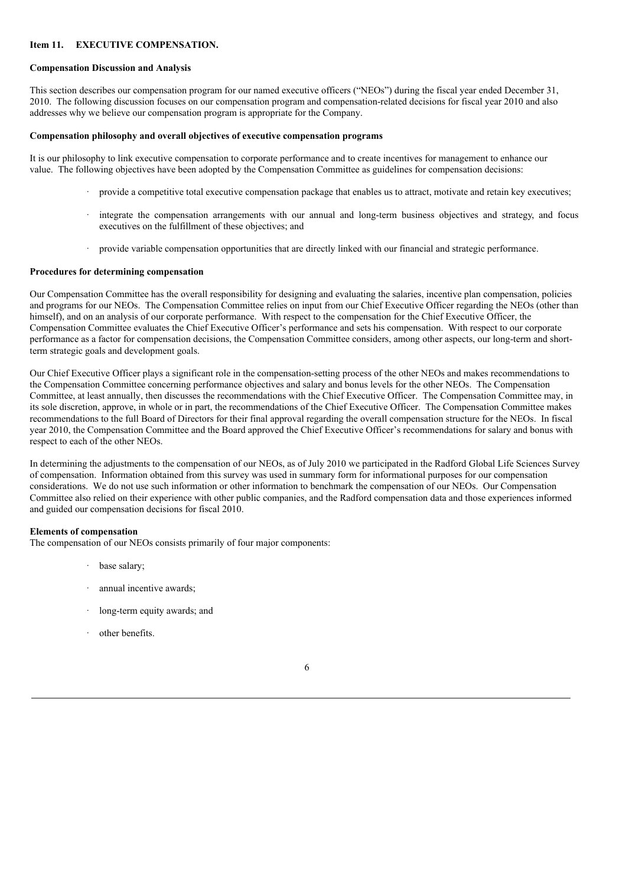# **Item 11. EXECUTIVE COMPENSATION.**

#### **Compensation Discussion and Analysis**

This section describes our compensation program for our named executive officers ("NEOs") during the fiscal year ended December 31, 2010. The following discussion focuses on our compensation program and compensation-related decisions for fiscal year 2010 and also addresses why we believe our compensation program is appropriate for the Company.

#### **Compensation philosophy and overall objectives of executive compensation programs**

It is our philosophy to link executive compensation to corporate performance and to create incentives for management to enhance our value. The following objectives have been adopted by the Compensation Committee as guidelines for compensation decisions:

- $\cdot$  provide a competitive total executive compensation package that enables us to attract, motivate and retain key executives;
- · integrate the compensation arrangements with our annual and long-term business objectives and strategy, and focus executives on the fulfillment of these objectives; and
- · provide variable compensation opportunities that are directly linked with our financial and strategic performance.

#### **Procedures for determining compensation**

Our Compensation Committee has the overall responsibility for designing and evaluating the salaries, incentive plan compensation, policies and programs for our NEOs. The Compensation Committee relies on input from our Chief Executive Officer regarding the NEOs (other than himself), and on an analysis of our corporate performance. With respect to the compensation for the Chief Executive Officer, the Compensation Committee evaluates the Chief Executive Officer's performance and sets his compensation. With respect to our corporate performance as a factor for compensation decisions, the Compensation Committee considers, among other aspects, our long-term and shortterm strategic goals and development goals.

Our Chief Executive Officer plays a significant role in the compensation-setting process of the other NEOs and makes recommendations to the Compensation Committee concerning performance objectives and salary and bonus levels for the other NEOs. The Compensation Committee, at least annually, then discusses the recommendations with the Chief Executive Officer. The Compensation Committee may, in its sole discretion, approve, in whole or in part, the recommendations of the Chief Executive Officer. The Compensation Committee makes recommendations to the full Board of Directors for their final approval regarding the overall compensation structure for the NEOs. In fiscal year 2010, the Compensation Committee and the Board approved the Chief Executive Officer's recommendations for salary and bonus with respect to each of the other NEOs.

In determining the adjustments to the compensation of our NEOs, as of July 2010 we participated in the Radford Global Life Sciences Survey of compensation. Information obtained from this survey was used in summary form for informational purposes for our compensation considerations. We do not use such information or other information to benchmark the compensation of our NEOs. Our Compensation Committee also relied on their experience with other public companies, and the Radford compensation data and those experiences informed and guided our compensation decisions for fiscal 2010.

#### **Elements of compensation**

The compensation of our NEOs consists primarily of four major components:

- base salary;
- annual incentive awards;
- long-term equity awards; and
- other benefits.

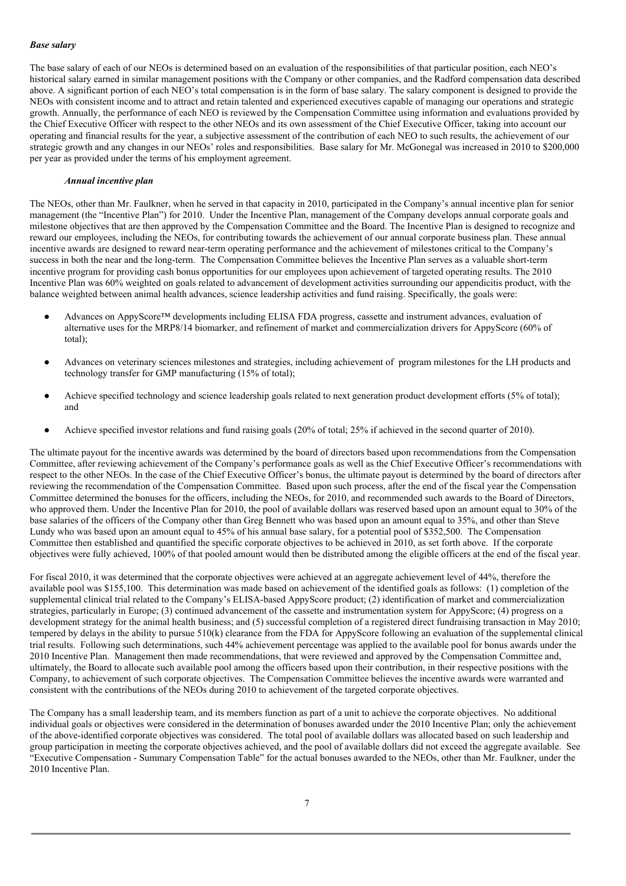# *Base salary*

The base salary of each of our NEOs is determined based on an evaluation of the responsibilities of that particular position, each NEO's historical salary earned in similar management positions with the Company or other companies, and the Radford compensation data described above. A significant portion of each NEO's total compensation is in the form of base salary. The salary component is designed to provide the NEOs with consistent income and to attract and retain talented and experienced executives capable of managing our operations and strategic growth. Annually, the performance of each NEO is reviewed by the Compensation Committee using information and evaluations provided by the Chief Executive Officer with respect to the other NEOs and its own assessment of the Chief Executive Officer, taking into account our operating and financial results for the year, a subjective assessment of the contribution of each NEO to such results, the achievement of our strategic growth and any changes in our NEOs' roles and responsibilities. Base salary for Mr. McGonegal was increased in 2010 to \$200,000 per year as provided under the terms of his employment agreement.

# *Annual incentive plan*

The NEOs, other than Mr. Faulkner, when he served in that capacity in 2010, participated in the Company's annual incentive plan for senior management (the "Incentive Plan") for 2010. Under the Incentive Plan, management of the Company develops annual corporate goals and milestone objectives that are then approved by the Compensation Committee and the Board. The Incentive Plan is designed to recognize and reward our employees, including the NEOs, for contributing towards the achievement of our annual corporate business plan. These annual incentive awards are designed to reward near-term operating performance and the achievement of milestones critical to the Company's success in both the near and the long-term. The Compensation Committee believes the Incentive Plan serves as a valuable short-term incentive program for providing cash bonus opportunities for our employees upon achievement of targeted operating results. The 2010 Incentive Plan was 60% weighted on goals related to advancement of development activities surrounding our appendicitis product, with the balance weighted between animal health advances, science leadership activities and fund raising. Specifically, the goals were:

- Advances on AppyScore™ developments including ELISA FDA progress, cassette and instrument advances, evaluation of alternative uses for the MRP8/14 biomarker, and refinement of market and commercialization drivers for AppyScore (60% of total);
- Advances on veterinary sciences milestones and strategies, including achievement of program milestones for the LH products and technology transfer for GMP manufacturing (15% of total);
- Achieve specified technology and science leadership goals related to next generation product development efforts (5% of total); and
- Achieve specified investor relations and fund raising goals (20% of total; 25% if achieved in the second quarter of 2010).

The ultimate payout for the incentive awards was determined by the board of directors based upon recommendations from the Compensation Committee, after reviewing achievement of the Company's performance goals as well as the Chief Executive Officer's recommendations with respect to the other NEOs. In the case of the Chief Executive Officer's bonus, the ultimate payout is determined by the board of directors after reviewing the recommendation of the Compensation Committee. Based upon such process, after the end of the fiscal year the Compensation Committee determined the bonuses for the officers, including the NEOs, for 2010, and recommended such awards to the Board of Directors, who approved them. Under the Incentive Plan for 2010, the pool of available dollars was reserved based upon an amount equal to 30% of the base salaries of the officers of the Company other than Greg Bennett who was based upon an amount equal to 35%, and other than Steve Lundy who was based upon an amount equal to 45% of his annual base salary, for a potential pool of \$352,500. The Compensation Committee then established and quantified the specific corporate objectives to be achieved in 2010, as set forth above. If the corporate objectives were fully achieved, 100% of that pooled amount would then be distributed among the eligible officers at the end of the fiscal year.

For fiscal 2010, it was determined that the corporate objectives were achieved at an aggregate achievement level of 44%, therefore the available pool was \$155,100. This determination was made based on achievement of the identified goals as follows: (1) completion of the supplemental clinical trial related to the Company's ELISA-based AppyScore product; (2) identification of market and commercialization strategies, particularly in Europe; (3) continued advancement of the cassette and instrumentation system for AppyScore; (4) progress on a development strategy for the animal health business; and (5) successful completion of a registered direct fundraising transaction in May 2010; tempered by delays in the ability to pursue 510(k) clearance from the FDA for AppyScore following an evaluation of the supplemental clinical trial results. Following such determinations, such 44% achievement percentage was applied to the available pool for bonus awards under the 2010 Incentive Plan. Management then made recommendations, that were reviewed and approved by the Compensation Committee and, ultimately, the Board to allocate such available pool among the officers based upon their contribution, in their respective positions with the Company, to achievement of such corporate objectives. The Compensation Committee believes the incentive awards were warranted and consistent with the contributions of the NEOs during 2010 to achievement of the targeted corporate objectives.

The Company has a small leadership team, and its members function as part of a unit to achieve the corporate objectives. No additional individual goals or objectives were considered in the determination of bonuses awarded under the 2010 Incentive Plan; only the achievement of the above-identified corporate objectives was considered. The total pool of available dollars was allocated based on such leadership and group participation in meeting the corporate objectives achieved, and the pool of available dollars did not exceed the aggregate available. See "Executive Compensation - Summary Compensation Table" for the actual bonuses awarded to the NEOs, other than Mr. Faulkner, under the 2010 Incentive Plan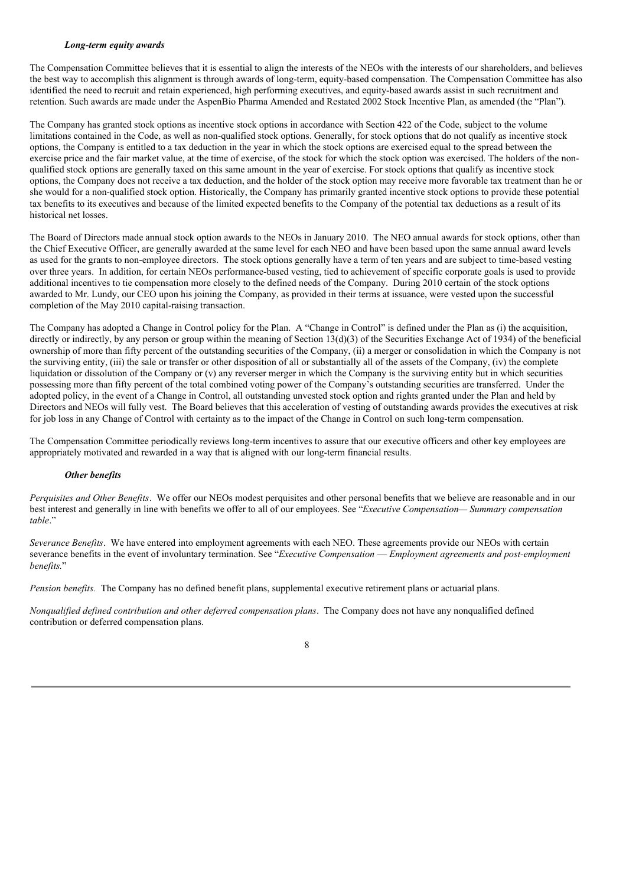### *Long-term equity awards*

The Compensation Committee believes that it is essential to align the interests of the NEOs with the interests of our shareholders, and believes the best way to accomplish this alignment is through awards of long-term, equity-based compensation. The Compensation Committee has also identified the need to recruit and retain experienced, high performing executives, and equity-based awards assist in such recruitment and retention. Such awards are made under the AspenBio Pharma Amended and Restated 2002 Stock Incentive Plan, as amended (the "Plan").

The Company has granted stock options as incentive stock options in accordance with Section 422 of the Code, subject to the volume limitations contained in the Code, as well as non-qualified stock options. Generally, for stock options that do not qualify as incentive stock options, the Company is entitled to a tax deduction in the year in which the stock options are exercised equal to the spread between the exercise price and the fair market value, at the time of exercise, of the stock for which the stock option was exercised. The holders of the nonqualified stock options are generally taxed on this same amount in the year of exercise. For stock options that qualify as incentive stock options, the Company does not receive a tax deduction, and the holder of the stock option may receive more favorable tax treatment than he or she would for a non-qualified stock option. Historically, the Company has primarily granted incentive stock options to provide these potential tax benefits to its executives and because of the limited expected benefits to the Company of the potential tax deductions as a result of its historical net losses.

The Board of Directors made annual stock option awards to the NEOs in January 2010. The NEO annual awards for stock options, other than the Chief Executive Officer, are generally awarded at the same level for each NEO and have been based upon the same annual award levels as used for the grants to non-employee directors. The stock options generally have a term of ten years and are subject to time-based vesting over three years. In addition, for certain NEOs performance-based vesting, tied to achievement of specific corporate goals is used to provide additional incentives to tie compensation more closely to the defined needs of the Company. During 2010 certain of the stock options awarded to Mr. Lundy, our CEO upon his joining the Company, as provided in their terms at issuance, were vested upon the successful completion of the May 2010 capital-raising transaction.

The Company has adopted a Change in Control policy for the Plan. A "Change in Control" is defined under the Plan as (i) the acquisition, directly or indirectly, by any person or group within the meaning of Section 13(d)(3) of the Securities Exchange Act of 1934) of the beneficial ownership of more than fifty percent of the outstanding securities of the Company, (ii) a merger or consolidation in which the Company is not the surviving entity, (iii) the sale or transfer or other disposition of all or substantially all of the assets of the Company, (iv) the complete liquidation or dissolution of the Company or (v) any reverser merger in which the Company is the surviving entity but in which securities possessing more than fifty percent of the total combined voting power of the Company's outstanding securities are transferred. Under the adopted policy, in the event of a Change in Control, all outstanding unvested stock option and rights granted under the Plan and held by Directors and NEOs will fully vest. The Board believes that this acceleration of vesting of outstanding awards provides the executives at risk for job loss in any Change of Control with certainty as to the impact of the Change in Control on such long-term compensation.

The Compensation Committee periodically reviews long-term incentives to assure that our executive officers and other key employees are appropriately motivated and rewarded in a way that is aligned with our long-term financial results.

### *Other benefits*

*Perquisites and Other Benefits*. We offer our NEOs modest perquisites and other personal benefits that we believe are reasonable and in our best interest and generally in line with benefits we offer to all of our employees. See "*Executive Compensation— Summary compensation table*."

*Severance Benefits*. We have entered into employment agreements with each NEO. These agreements provide our NEOs with certain severance benefits in the event of involuntary termination. See "*Executive Compensation* — *Employment agreements and post-employment benefits.*"

*Pension benefits.* The Company has no defined benefit plans, supplemental executive retirement plans or actuarial plans.

*Nonqualified defined contribution and other deferred compensation plans*. The Company does not have any nonqualified defined contribution or deferred compensation plans.

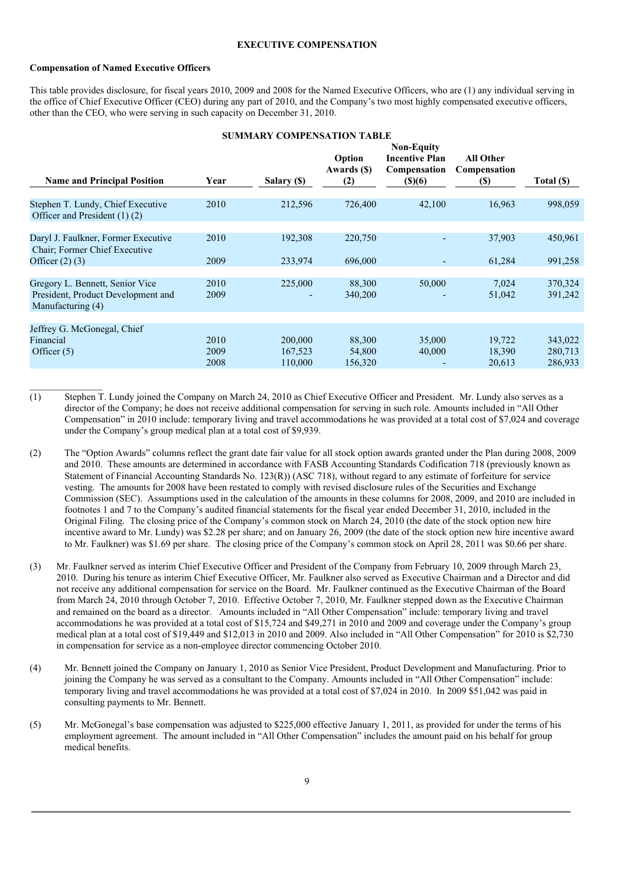#### **EXECUTIVE COMPENSATION**

### **Compensation of Named Executive Officers**

This table provides disclosure, for fiscal years 2010, 2009 and 2008 for the Named Executive Officers, who are (1) any individual serving in the office of Chief Executive Officer (CEO) during any part of 2010, and the Company's two most highly compensated executive officers, other than the CEO, who were serving in such capacity on December 31, 2010.

#### **SUMMARY COMPENSATION TABLE**

| <b>Name and Principal Position</b>                                                         | Year                 | Salary (\$)                   | Option<br>Awards (\$)<br>(2) | <b>Non-Equity</b><br><b>Incentive Plan</b><br>Compensation<br>\$)(6) | All Other<br>Compensation<br><b>(S)</b> | Total (\$)                    |
|--------------------------------------------------------------------------------------------|----------------------|-------------------------------|------------------------------|----------------------------------------------------------------------|-----------------------------------------|-------------------------------|
| Stephen T. Lundy, Chief Executive<br>Officer and President (1) (2)                         | 2010                 | 212,596                       | 726,400                      | 42,100                                                               | 16,963                                  | 998,059                       |
| Daryl J. Faulkner, Former Executive<br>Chair; Former Chief Executive                       | 2010                 | 192,308                       | 220,750                      |                                                                      | 37,903                                  | 450,961                       |
| Officer $(2)$ $(3)$                                                                        | 2009                 | 233,974                       | 696,000                      |                                                                      | 61,284                                  | 991,258                       |
| Gregory L. Bennett, Senior Vice<br>President, Product Development and<br>Manufacturing (4) | 2010<br>2009         | 225,000<br>-                  | 88,300<br>340,200            | 50,000                                                               | 7,024<br>51,042                         | 370,324<br>391,242            |
|                                                                                            |                      |                               |                              |                                                                      |                                         |                               |
| Jeffrey G. McGonegal, Chief<br>Financial<br>Officer $(5)$                                  | 2010<br>2009<br>2008 | 200,000<br>167,523<br>110,000 | 88,300<br>54,800<br>156,320  | 35,000<br>40,000                                                     | 19,722<br>18,390<br>20.613              | 343,022<br>280,713<br>286,933 |

- (1) Stephen T. Lundy joined the Company on March 24, 2010 as Chief Executive Officer and President. Mr. Lundy also serves as a director of the Company; he does not receive additional compensation for serving in such role. Amounts included in "All Other Compensation" in 2010 include: temporary living and travel accommodations he was provided at a total cost of \$7,024 and coverage under the Company's group medical plan at a total cost of \$9,939.
- (2) The "Option Awards" columns reflect the grant date fair value for all stock option awards granted under the Plan during 2008, 2009 and 2010. These amounts are determined in accordance with FASB Accounting Standards Codification 718 (previously known as Statement of Financial Accounting Standards No. 123(R)) (ASC 718), without regard to any estimate of forfeiture for service vesting. The amounts for 2008 have been restated to comply with revised disclosure rules of the Securities and Exchange Commission (SEC). Assumptions used in the calculation of the amounts in these columns for 2008, 2009, and 2010 are included in footnotes 1 and 7 to the Company's audited financial statements for the fiscal year ended December 31, 2010, included in the Original Filing. The closing price of the Company's common stock on March 24, 2010 (the date of the stock option new hire incentive award to Mr. Lundy) was \$2.28 per share; and on January 26, 2009 (the date of the stock option new hire incentive award to Mr. Faulkner) was \$1.69 per share. The closing price of the Company's common stock on April 28, 2011 was \$0.66 per share.
- (3) Mr. Faulkner served as interim Chief Executive Officer and President of the Company from February 10, 2009 through March 23, 2010. During his tenure as interim Chief Executive Officer, Mr. Faulkner also served as Executive Chairman and a Director and did not receive any additional compensation for service on the Board. Mr. Faulkner continued as the Executive Chairman of the Board from March 24, 2010 through October 7, 2010. Effective October 7, 2010, Mr. Faulkner stepped down as the Executive Chairman and remained on the board as a director. Amounts included in "All Other Compensation" include: temporary living and travel accommodations he was provided at a total cost of \$15,724 and \$49,271 in 2010 and 2009 and coverage under the Company's group medical plan at a total cost of \$19,449 and \$12,013 in 2010 and 2009. Also included in "All Other Compensation" for 2010 is \$2,730 in compensation for service as a non-employee director commencing October 2010.
- (4) Mr. Bennett joined the Company on January 1, 2010 as Senior Vice President, Product Development and Manufacturing. Prior to joining the Company he was served as a consultant to the Company. Amounts included in "All Other Compensation" include: temporary living and travel accommodations he was provided at a total cost of \$7,024 in 2010. In 2009 \$51,042 was paid in consulting payments to Mr. Bennett.
- (5) Mr. McGonegal's base compensation was adjusted to \$225,000 effective January 1, 2011, as provided for under the terms of his employment agreement. The amount included in "All Other Compensation" includes the amount paid on his behalf for group medical benefits.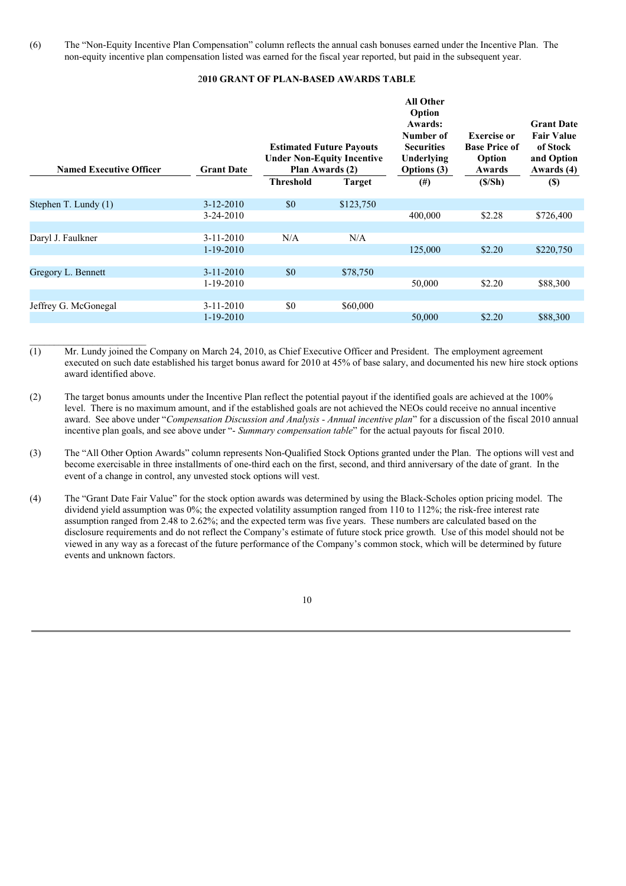(6) The "Non-Equity Incentive Plan Compensation" column reflects the annual cash bonuses earned under the Incentive Plan. The non-equity incentive plan compensation listed was earned for the fiscal year reported, but paid in the subsequent year.

#### 2**010 GRANT OF PLAN-BASED AWARDS TABLE**

| <b>Named Executive Officer</b> | <b>Grant Date</b> | <b>Estimated Future Payouts</b><br><b>Under Non-Equity Incentive</b><br>Plan Awards (2) |               | <b>All Other</b><br>Option<br>Awards:<br>Number of<br><b>Securities</b><br>Underlying<br><b>Options</b> (3) | <b>Exercise or</b><br><b>Base Price of</b><br>Option<br>Awards | <b>Grant Date</b><br><b>Fair Value</b><br>of Stock<br>and Option<br>Awards (4) |
|--------------------------------|-------------------|-----------------------------------------------------------------------------------------|---------------|-------------------------------------------------------------------------------------------------------------|----------------------------------------------------------------|--------------------------------------------------------------------------------|
|                                |                   | <b>Threshold</b>                                                                        | <b>Target</b> | $^{(#)}$                                                                                                    | (S/Sh)                                                         | $(\$)$                                                                         |
| Stephen T. Lundy (1)           | $3 - 12 - 2010$   | \$0                                                                                     | \$123,750     |                                                                                                             |                                                                |                                                                                |
|                                | 3-24-2010         |                                                                                         |               | 400,000                                                                                                     | \$2.28                                                         | \$726,400                                                                      |
|                                |                   |                                                                                         |               |                                                                                                             |                                                                |                                                                                |
| Daryl J. Faulkner              | $3 - 11 - 2010$   | N/A                                                                                     | N/A           |                                                                                                             |                                                                |                                                                                |
|                                | $1 - 19 - 2010$   |                                                                                         |               | 125,000                                                                                                     | \$2.20                                                         | \$220,750                                                                      |
|                                |                   |                                                                                         |               |                                                                                                             |                                                                |                                                                                |
| Gregory L. Bennett             | $3-11-2010$       | \$0                                                                                     | \$78,750      |                                                                                                             |                                                                |                                                                                |
|                                | $1-19-2010$       |                                                                                         |               | 50,000                                                                                                      | \$2.20                                                         | \$88,300                                                                       |
|                                |                   |                                                                                         |               |                                                                                                             |                                                                |                                                                                |
| Jeffrey G. McGonegal           | $3 - 11 - 2010$   | \$0                                                                                     | \$60,000      |                                                                                                             |                                                                |                                                                                |
|                                | $1 - 19 - 2010$   |                                                                                         |               | 50,000                                                                                                      | \$2.20                                                         | \$88,300                                                                       |
|                                |                   |                                                                                         |               |                                                                                                             |                                                                |                                                                                |

(1) Mr. Lundy joined the Company on March 24, 2010, as Chief Executive Officer and President. The employment agreement executed on such date established his target bonus award for 2010 at 45% of base salary, and documented his new hire stock options award identified above.

 $\_$ 

- (2) The target bonus amounts under the Incentive Plan reflect the potential payout if the identified goals are achieved at the 100% level. There is no maximum amount, and if the established goals are not achieved the NEOs could receive no annual incentive award. See above under "*Compensation Discussion and Analysis - Annual incentive plan*" for a discussion of the fiscal 2010 annual incentive plan goals, and see above under "- *Summary compensation table*" for the actual payouts for fiscal 2010.
- (3) The "All Other Option Awards" column represents Non-Qualified Stock Options granted under the Plan. The options will vest and become exercisable in three installments of one-third each on the first, second, and third anniversary of the date of grant. In the event of a change in control, any unvested stock options will vest.
- (4) The "Grant Date Fair Value" for the stock option awards was determined by using the Black-Scholes option pricing model. The dividend yield assumption was 0%; the expected volatility assumption ranged from 110 to 112%; the risk-free interest rate assumption ranged from 2.48 to 2.62%; and the expected term was five years. These numbers are calculated based on the disclosure requirements and do not reflect the Company's estimate of future stock price growth. Use of this model should not be viewed in any way as a forecast of the future performance of the Company's common stock, which will be determined by future events and unknown factors.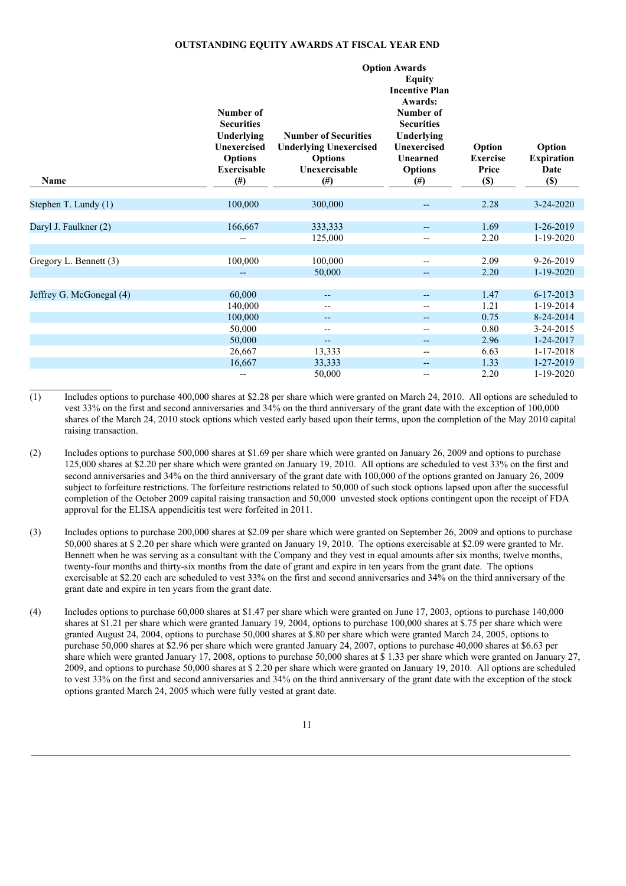#### **OUTSTANDING EQUITY AWARDS AT FISCAL YEAR END**

|                          | Number of<br><b>Securities</b><br>Underlying<br><b>Unexercised</b> | Option                                                                 |                                                            |                                              |                                     |  |
|--------------------------|--------------------------------------------------------------------|------------------------------------------------------------------------|------------------------------------------------------------|----------------------------------------------|-------------------------------------|--|
| Name                     | <b>Options</b><br><b>Exercisable</b><br>$($ # $)$                  | <b>Underlying Unexercised</b><br><b>Options</b><br>Unexercisable<br>#) | <b>Unexercised</b><br>Unearned<br><b>Options</b><br>$(\#)$ | Option<br><b>Exercise</b><br>Price<br>$(\$)$ | <b>Expiration</b><br>Date<br>$(\$)$ |  |
| Stephen T. Lundy (1)     | 100,000                                                            | 300,000                                                                | $\overline{\phantom{a}}$                                   | 2.28                                         | $3 - 24 - 2020$                     |  |
| Daryl J. Faulkner (2)    | 166,667                                                            | 333,333                                                                | --                                                         | 1.69                                         | 1-26-2019                           |  |
|                          | --                                                                 | 125,000                                                                | $\overline{a}$                                             | 2.20                                         | $1-19-2020$                         |  |
| Gregory L. Bennett (3)   | 100,000                                                            | 100,000<br>50,000                                                      | --<br>$\qquad \qquad -$                                    | 2.09<br>2.20                                 | 9-26-2019<br>$1 - 19 - 2020$        |  |
| Jeffrey G. McGonegal (4) | 60,000                                                             | --                                                                     | --                                                         | 1.47                                         | $6 - 17 - 2013$                     |  |
|                          | 140,000                                                            | $\overline{\phantom{m}}$                                               | --                                                         | 1.21                                         | 1-19-2014                           |  |
|                          | 100,000                                                            | $\qquad \qquad -$                                                      | --                                                         | 0.75                                         | 8-24-2014                           |  |
|                          | 50,000                                                             | $\overline{\phantom{m}}$                                               | --                                                         | 0.80                                         | 3-24-2015                           |  |
|                          | 50,000                                                             | $\qquad \qquad -$                                                      | --                                                         | 2.96                                         | 1-24-2017                           |  |
|                          | 26,667                                                             | 13,333                                                                 | $-$                                                        | 6.63                                         | 1-17-2018                           |  |
|                          | 16,667                                                             | 33,333                                                                 | --                                                         | 1.33                                         | 1-27-2019                           |  |
|                          | $-$                                                                | 50,000                                                                 | --                                                         | 2.20                                         | $1-19-2020$                         |  |

(1) Includes options to purchase 400,000 shares at \$2.28 per share which were granted on March 24, 2010. All options are scheduled to vest 33% on the first and second anniversaries and 34% on the third anniversary of the grant date with the exception of 100,000 shares of the March 24, 2010 stock options which vested early based upon their terms, upon the completion of the May 2010 capital raising transaction.

- (2) Includes options to purchase 500,000 shares at \$1.69 per share which were granted on January 26, 2009 and options to purchase 125,000 shares at \$2.20 per share which were granted on January 19, 2010. All options are scheduled to vest 33% on the first and second anniversaries and 34% on the third anniversary of the grant date with 100,000 of the options granted on January 26, 2009 subject to forfeiture restrictions. The forfeiture restrictions related to 50,000 of such stock options lapsed upon after the successful completion of the October 2009 capital raising transaction and 50,000 unvested stock options contingent upon the receipt of FDA approval for the ELISA appendicitis test were forfeited in 2011.
- (3) Includes options to purchase 200,000 shares at \$2.09 per share which were granted on September 26, 2009 and options to purchase 50,000 shares at \$ 2.20 per share which were granted on January 19, 2010. The options exercisable at \$2.09 were granted to Mr. Bennett when he was serving as a consultant with the Company and they vest in equal amounts after six months, twelve months, twenty-four months and thirty-six months from the date of grant and expire in ten years from the grant date. The options exercisable at \$2.20 each are scheduled to vest 33% on the first and second anniversaries and 34% on the third anniversary of the grant date and expire in ten years from the grant date.
- (4) Includes options to purchase 60,000 shares at \$1.47 per share which were granted on June 17, 2003, options to purchase 140,000 shares at \$1.21 per share which were granted January 19, 2004, options to purchase 100,000 shares at \$.75 per share which were granted August 24, 2004, options to purchase 50,000 shares at \$.80 per share which were granted March 24, 2005, options to purchase 50,000 shares at \$2.96 per share which were granted January 24, 2007, options to purchase 40,000 shares at \$6.63 per share which were granted January 17, 2008, options to purchase 50,000 shares at \$ 1.33 per share which were granted on January 27, 2009, and options to purchase 50,000 shares at \$ 2.20 per share which were granted on January 19, 2010. All options are scheduled to vest 33% on the first and second anniversaries and 34% on the third anniversary of the grant date with the exception of the stock options granted March 24, 2005 which were fully vested at grant date.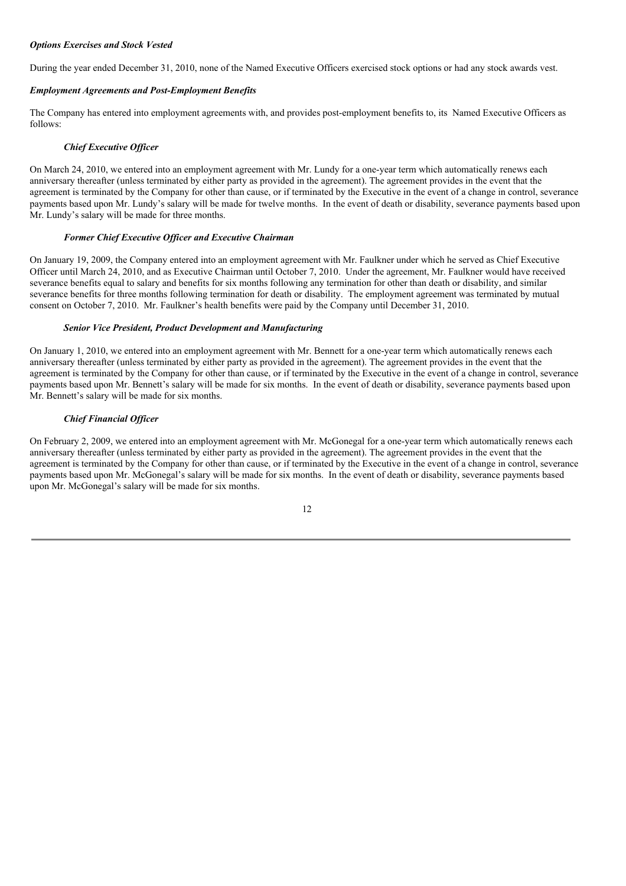# *Options Exercises and Stock Vested*

During the year ended December 31, 2010, none of the Named Executive Officers exercised stock options or had any stock awards vest.

# *Employment Agreements and Post-Employment Benefits*

The Company has entered into employment agreements with, and provides post-employment benefits to, its Named Executive Officers as follows:

### *Chief Executive Of icer*

On March 24, 2010, we entered into an employment agreement with Mr. Lundy for a one-year term which automatically renews each anniversary thereafter (unless terminated by either party as provided in the agreement). The agreement provides in the event that the agreement is terminated by the Company for other than cause, or if terminated by the Executive in the event of a change in control, severance payments based upon Mr. Lundy's salary will be made for twelve months. In the event of death or disability, severance payments based upon Mr. Lundy's salary will be made for three months.

# *Former Chief Executive Of icer and Executive Chairman*

On January 19, 2009, the Company entered into an employment agreement with Mr. Faulkner under which he served as Chief Executive Officer until March 24, 2010, and as Executive Chairman until October 7, 2010. Under the agreement, Mr. Faulkner would have received severance benefits equal to salary and benefits for six months following any termination for other than death or disability, and similar severance benefits for three months following termination for death or disability. The employment agreement was terminated by mutual consent on October 7, 2010. Mr. Faulkner's health benefits were paid by the Company until December 31, 2010.

# *Senior Vice President, Product Development and Manufacturing*

On January 1, 2010, we entered into an employment agreement with Mr. Bennett for a one-year term which automatically renews each anniversary thereafter (unless terminated by either party as provided in the agreement). The agreement provides in the event that the agreement is terminated by the Company for other than cause, or if terminated by the Executive in the event of a change in control, severance payments based upon Mr. Bennett's salary will be made for six months. In the event of death or disability, severance payments based upon Mr. Bennett's salary will be made for six months.

### *Chief Financial Of icer*

On February 2, 2009, we entered into an employment agreement with Mr. McGonegal for a one-year term which automatically renews each anniversary thereafter (unless terminated by either party as provided in the agreement). The agreement provides in the event that the agreement is terminated by the Company for other than cause, or if terminated by the Executive in the event of a change in control, severance payments based upon Mr. McGonegal's salary will be made for six months. In the event of death or disability, severance payments based upon Mr. McGonegal's salary will be made for six months.

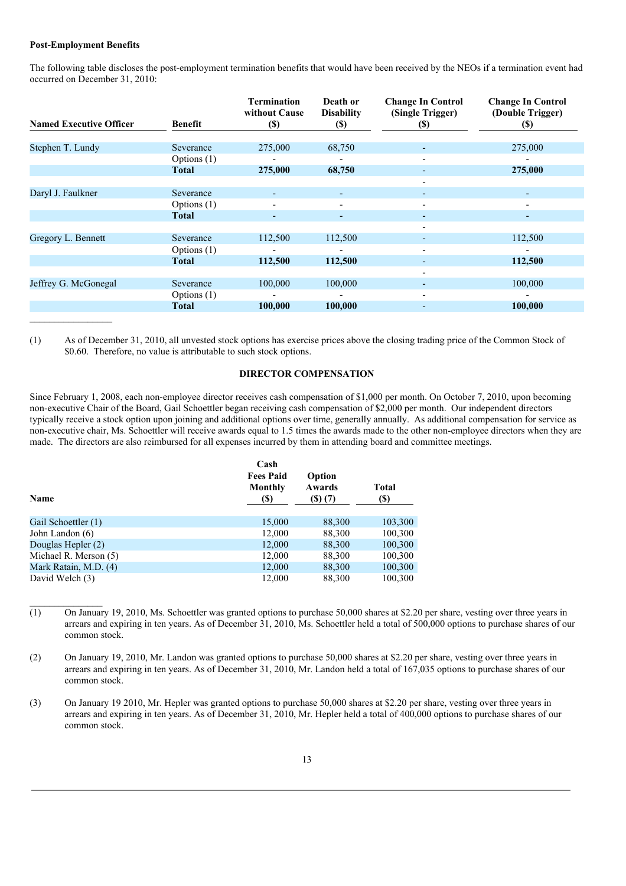#### **Post-Employment Benefits**

The following table discloses the post-employment termination benefits that would have been received by the NEOs if a termination event had occurred on December 31, 2010:

| <b>Named Executive Officer</b> | <b>Benefit</b> | <b>Termination</b><br>without Cause<br><b>(\$)</b> | Death or<br><b>Disability</b><br>$(\$)$ | <b>Change In Control</b><br>(Single Trigger)<br>(S) | <b>Change In Control</b><br>(Double Trigger)<br><b>(\$)</b> |
|--------------------------------|----------------|----------------------------------------------------|-----------------------------------------|-----------------------------------------------------|-------------------------------------------------------------|
|                                |                |                                                    |                                         |                                                     |                                                             |
| Stephen T. Lundy               | Severance      | 275,000                                            | 68,750                                  |                                                     | 275,000                                                     |
|                                | Options $(1)$  | -                                                  |                                         |                                                     |                                                             |
|                                | Total          | 275,000                                            | 68,750                                  |                                                     | 275,000                                                     |
|                                |                |                                                    |                                         | $\overline{\phantom{0}}$                            |                                                             |
| Daryl J. Faulkner              | Severance      |                                                    |                                         |                                                     |                                                             |
|                                | Options (1)    |                                                    |                                         |                                                     |                                                             |
|                                | Total          | ٠                                                  |                                         | ۰.                                                  | ٠                                                           |
|                                |                |                                                    |                                         |                                                     |                                                             |
| Gregory L. Bennett             | Severance      | 112,500                                            | 112,500                                 |                                                     | 112,500                                                     |
|                                | Options (1)    |                                                    |                                         |                                                     |                                                             |
|                                | Total          | 112,500                                            | 112,500                                 |                                                     | 112,500                                                     |
|                                |                |                                                    |                                         |                                                     |                                                             |
| Jeffrey G. McGonegal           | Severance      | 100,000                                            | 100,000                                 | ٠                                                   | 100,000                                                     |
|                                | Options $(1)$  | $\overline{\phantom{a}}$                           |                                         | $\overline{\phantom{0}}$                            | $\overline{\phantom{a}}$                                    |
|                                | Total          | 100,000                                            | 100,000                                 |                                                     | 100,000                                                     |
|                                |                |                                                    |                                         |                                                     |                                                             |

(1) As of December 31, 2010, all unvested stock options has exercise prices above the closing trading price of the Common Stock of \$0.60. Therefore, no value is attributable to such stock options.

# **DIRECTOR COMPENSATION**

Since February 1, 2008, each non-employee director receives cash compensation of \$1,000 per month. On October 7, 2010, upon becoming non-executive Chair of the Board, Gail Schoettler began receiving cash compensation of \$2,000 per month. Our independent directors typically receive a stock option upon joining and additional options over time, generally annually. As additional compensation for service as non-executive chair, Ms. Schoettler will receive awards equal to 1.5 times the awards made to the other non-employee directors when they are made. The directors are also reimbursed for all expenses incurred by them in attending board and committee meetings.

|                       | Cash                                |                                   |                      |  |
|-----------------------|-------------------------------------|-----------------------------------|----------------------|--|
| Name                  | <b>Fees Paid</b><br>Monthly<br>(\$) | Option<br>Awards<br>$($ \$) $(7)$ | <b>Total</b><br>(\$) |  |
|                       |                                     |                                   |                      |  |
| Gail Schoettler (1)   | 15,000                              | 88,300                            | 103,300              |  |
| John Landon (6)       | 12,000                              | 88,300                            | 100,300              |  |
| Douglas Hepler (2)    | 12,000                              | 88,300                            | 100,300              |  |
| Michael R. Merson (5) | 12,000                              | 88,300                            | 100,300              |  |
| Mark Ratain, M.D. (4) | 12,000                              | 88,300                            | 100,300              |  |
| David Welch (3)       | 12.000                              | 88,300                            | 100.300              |  |

 $\overline{(1)}$  On January 19, 2010, Ms. Schoettler was granted options to purchase 50,000 shares at \$2.20 per share, vesting over three years in arrears and expiring in ten years. As of December 31, 2010, Ms. Schoettler held a total of 500,000 options to purchase shares of our common stock.

(2) On January 19, 2010, Mr. Landon was granted options to purchase 50,000 shares at \$2.20 per share, vesting over three years in arrears and expiring in ten years. As of December 31, 2010, Mr. Landon held a total of 167,035 options to purchase shares of our common stock.

(3) On January 19 2010, Mr. Hepler was granted options to purchase 50,000 shares at \$2.20 per share, vesting over three years in arrears and expiring in ten years. As of December 31, 2010, Mr. Hepler held a total of 400,000 options to purchase shares of our common stock.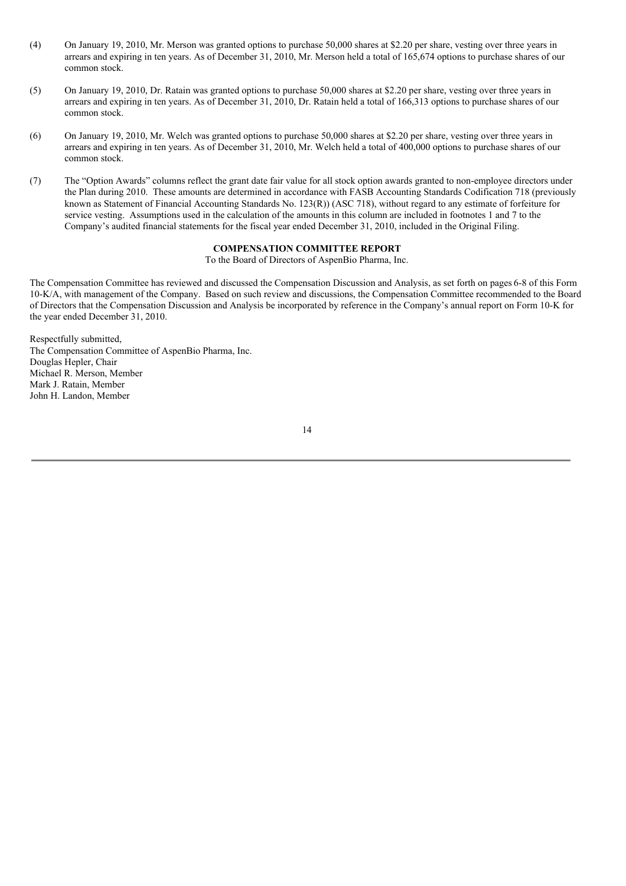- (4) On January 19, 2010, Mr. Merson was granted options to purchase 50,000 shares at \$2.20 per share, vesting over three years in arrears and expiring in ten years. As of December 31, 2010, Mr. Merson held a total of 165,674 options to purchase shares of our common stock.
- (5) On January 19, 2010, Dr. Ratain was granted options to purchase 50,000 shares at \$2.20 per share, vesting over three years in arrears and expiring in ten years. As of December 31, 2010, Dr. Ratain held a total of 166,313 options to purchase shares of our common stock.
- (6) On January 19, 2010, Mr. Welch was granted options to purchase 50,000 shares at \$2.20 per share, vesting over three years in arrears and expiring in ten years. As of December 31, 2010, Mr. Welch held a total of 400,000 options to purchase shares of our common stock.
- (7) The "Option Awards" columns reflect the grant date fair value for all stock option awards granted to non-employee directors under the Plan during 2010. These amounts are determined in accordance with FASB Accounting Standards Codification 718 (previously known as Statement of Financial Accounting Standards No. 123(R)) (ASC 718), without regard to any estimate of forfeiture for service vesting. Assumptions used in the calculation of the amounts in this column are included in footnotes 1 and 7 to the Company's audited financial statements for the fiscal year ended December 31, 2010, included in the Original Filing.

# **COMPENSATION COMMITTEE REPORT**

To the Board of Directors of AspenBio Pharma, Inc.

The Compensation Committee has reviewed and discussed the Compensation Discussion and Analysis, as set forth on pages6-8 of this Form 10-K/A, with management of the Company. Based on such review and discussions, the Compensation Committee recommended to the Board of Directors that the Compensation Discussion and Analysis be incorporated by reference in the Company's annual report on Form 10-K for the year ended December 31, 2010.

Respectfully submitted, The Compensation Committee of AspenBio Pharma, Inc. Douglas Hepler, Chair Michael R. Merson, Member Mark J. Ratain, Member John H. Landon, Member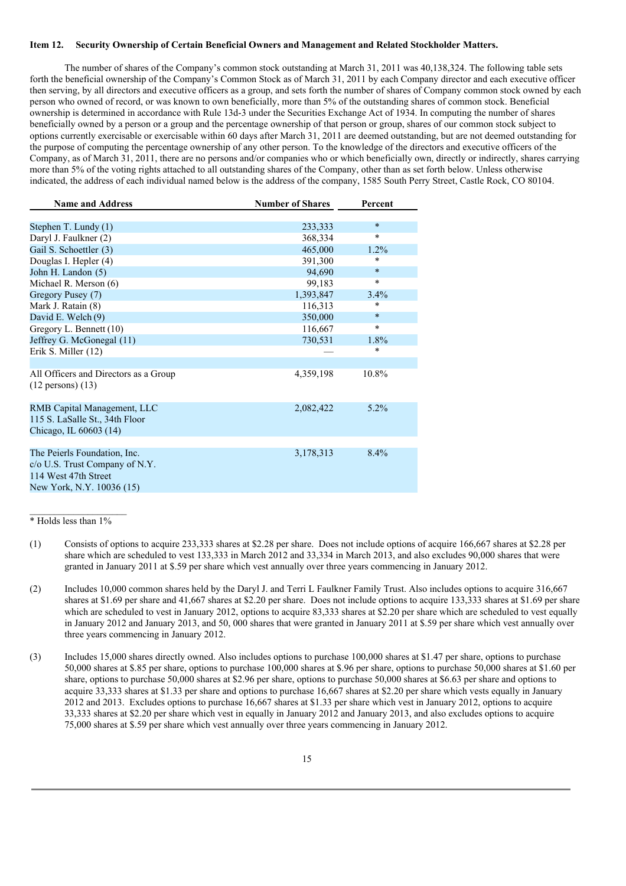# **Item 12. Security Ownership of Certain Beneficial Owners and Management and Related Stockholder Matters.**

The number of shares of the Company's common stock outstanding at March 31, 2011 was 40,138,324. The following table sets forth the beneficial ownership of the Company's Common Stock as of March 31, 2011 by each Company director and each executive officer then serving, by all directors and executive officers as a group, and sets forth the number of shares of Company common stock owned by each person who owned of record, or was known to own beneficially, more than 5% of the outstanding shares of common stock. Beneficial ownership is determined in accordance with Rule 13d-3 under the Securities Exchange Act of 1934. In computing the number of shares beneficially owned by a person or a group and the percentage ownership of that person or group, shares of our common stock subject to options currently exercisable or exercisable within 60 days after March 31, 2011 are deemed outstanding, but are not deemed outstanding for the purpose of computing the percentage ownership of any other person. To the knowledge of the directors and executive officers of the Company, as of March 31, 2011, there are no persons and/or companies who or which beneficially own, directly or indirectly, shares carrying more than 5% of the voting rights attached to all outstanding shares of the Company, other than as set forth below. Unless otherwise indicated, the address of each individual named below is the address of the company, 1585 South Perry Street, Castle Rock, CO 80104.

| <b>Name and Address</b>               | <b>Number of Shares</b> | Percent |  |
|---------------------------------------|-------------------------|---------|--|
|                                       |                         |         |  |
| Stephen T. Lundy (1)                  | 233,333                 | $\star$ |  |
| Daryl J. Faulkner (2)                 | 368,334                 | $\ast$  |  |
| Gail S. Schoettler (3)                | 465,000                 | $1.2\%$ |  |
| Douglas I. Hepler (4)                 | 391,300                 | $\ast$  |  |
| John H. Landon (5)                    | 94,690                  | $\ast$  |  |
| Michael R. Merson (6)                 | 99,183                  | $\star$ |  |
| Gregory Pusey (7)                     | 1,393,847               | $3.4\%$ |  |
| Mark J. Ratain (8)                    | 116,313                 | *       |  |
| David E. Welch (9)                    | 350,000                 | $\star$ |  |
| Gregory L. Bennett (10)               | 116,667                 | $\star$ |  |
| Jeffrey G. McGonegal (11)             | 730,531                 | 1.8%    |  |
| Erik S. Miller (12)                   |                         | $\ast$  |  |
|                                       |                         |         |  |
| All Officers and Directors as a Group | 4,359,198               | 10.8%   |  |
| $(12 \text{ persons}) (13)$           |                         |         |  |
|                                       |                         |         |  |
| RMB Capital Management, LLC           | 2,082,422               | $5.2\%$ |  |
| 115 S. LaSalle St., 34th Floor        |                         |         |  |
| Chicago, IL 60603 (14)                |                         |         |  |
|                                       |                         |         |  |
| The Peierls Foundation, Inc.          | 3,178,313               | $8.4\%$ |  |
| c/o U.S. Trust Company of N.Y.        |                         |         |  |
| 114 West 47th Street                  |                         |         |  |
| New York, N.Y. 10036 (15)             |                         |         |  |

 $\mathcal{L}_\text{max}$ \* Holds less than 1%

- (1) Consists of options to acquire 233,333 shares at \$2.28 per share. Does not include options of acquire 166,667 shares at \$2.28 per share which are scheduled to vest 133,333 in March 2012 and 33,334 in March 2013, and also excludes 90,000 shares that were granted in January 2011 at \$.59 per share which vest annually over three years commencing in January 2012.
- (2) Includes 10,000 common shares held by the Daryl J. and Terri L Faulkner Family Trust. Also includes options to acquire 316,667 shares at \$1.69 per share and 41,667 shares at \$2.20 per share. Does not include options to acquire 133,333 shares at \$1.69 per share which are scheduled to vest in January 2012, options to acquire 83,333 shares at \$2.20 per share which are scheduled to vest equally in January 2012 and January 2013, and 50, 000 shares that were granted in January 2011 at \$.59 per share which vest annually over three years commencing in January 2012.
- (3) Includes 15,000 shares directly owned. Also includes options to purchase 100,000 shares at \$1.47 per share, options to purchase 50,000 shares at \$.85 per share, options to purchase 100,000 shares at \$.96 per share, options to purchase 50,000 shares at \$1.60 per share, options to purchase 50,000 shares at \$2.96 per share, options to purchase 50,000 shares at \$6.63 per share and options to acquire 33,333 shares at \$1.33 per share and options to purchase 16,667 shares at \$2.20 per share which vests equally in January 2012 and 2013. Excludes options to purchase 16,667 shares at \$1.33 per share which vest in January 2012, options to acquire 33,333 shares at \$2.20 per share which vest in equally in January 2012 and January 2013, and also excludes options to acquire 75,000 shares at \$.59 per share which vest annually over three years commencing in January 2012.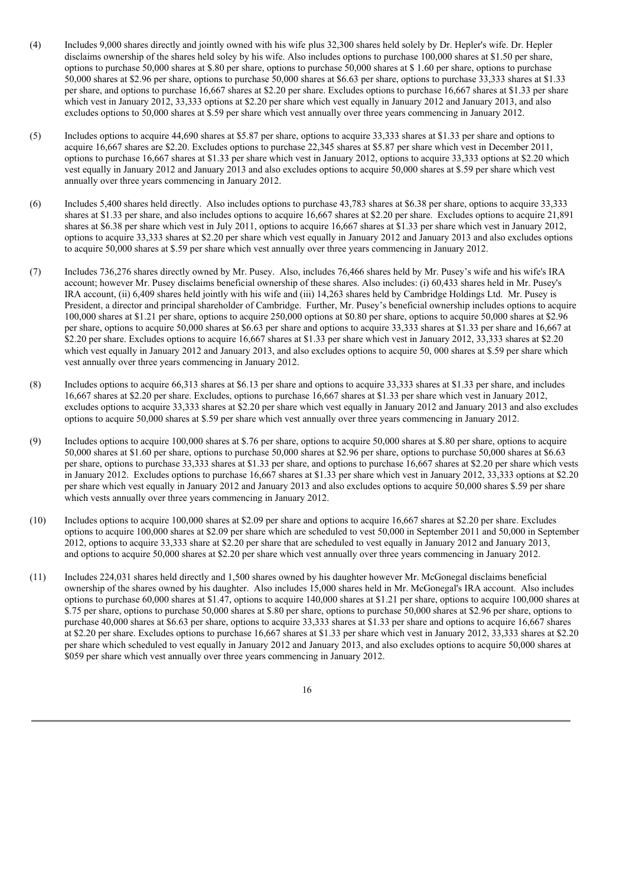- (4) Includes 9,000 shares directly and jointly owned with his wife plus 32,300 shares held solely by Dr. Hepler's wife. Dr. Hepler disclaims ownership of the shares held soley by his wife. Also includes options to purchase 100,000 shares at \$1.50 per share, options to purchase 50,000 shares at \$.80 per share, options to purchase 50,000 shares at \$ 1.60 per share, options to purchase 50,000 shares at \$2.96 per share, options to purchase 50,000 shares at \$6.63 per share, options to purchase 33,333 shares at \$1.33 per share, and options to purchase 16,667 shares at \$2.20 per share. Excludes options to purchase 16,667 shares at \$1.33 per share which vest in January 2012, 33,333 options at \$2.20 per share which vest equally in January 2012 and January 2013, and also excludes options to 50,000 shares at \$.59 per share which vest annually over three years commencing in January 2012.
- (5) Includes options to acquire 44,690 shares at \$5.87 per share, options to acquire 33,333 shares at \$1.33 per share and options to acquire 16,667 shares are \$2.20. Excludes options to purchase 22,345 shares at \$5.87 per share which vest in December 2011, options to purchase 16,667 shares at \$1.33 per share which vest in January 2012, options to acquire 33,333 options at \$2.20 which vest equally in January 2012 and January 2013 and also excludes options to acquire 50,000 shares at \$.59 per share which vest annually over three years commencing in January 2012.
- (6) Includes 5,400 shares held directly. Also includes options to purchase 43,783 shares at \$6.38 per share, options to acquire 33,333 shares at \$1.33 per share, and also includes options to acquire 16,667 shares at \$2.20 per share. Excludes options to acquire 21,891 shares at \$6.38 per share which vest in July 2011, options to acquire 16,667 shares at \$1.33 per share which vest in January 2012, options to acquire 33,333 shares at \$2.20 per share which vest equally in January 2012 and January 2013 and also excludes options to acquire 50,000 shares at \$.59 per share which vest annually over three years commencing in January 2012.
- (7) Includes 736,276 shares directly owned by Mr. Pusey. Also, includes 76,466 shares held by Mr. Pusey's wife and his wife's IRA account; however Mr. Pusey disclaims beneficial ownership of these shares. Also includes: (i) 60,433 shares held in Mr. Pusey's IRA account, (ii) 6,409 shares held jointly with his wife and (iii) 14,263 shares held by Cambridge Holdings Ltd. Mr. Pusey is President, a director and principal shareholder of Cambridge. Further, Mr. Pusey's beneficial ownership includes options to acquire 100,000 shares at \$1.21 per share, options to acquire 250,000 options at \$0.80 per share, options to acquire 50,000 shares at \$2.96 per share, options to acquire 50,000 shares at \$6.63 per share and options to acquire 33,333 shares at \$1.33 per share and 16,667 at \$2.20 per share. Excludes options to acquire 16,667 shares at \$1.33 per share which vest in January 2012, 33,333 shares at \$2.20 which vest equally in January 2012 and January 2013, and also excludes options to acquire 50, 000 shares at \$.59 per share which vest annually over three years commencing in January 2012.
- (8) Includes options to acquire 66,313 shares at \$6.13 per share and options to acquire 33,333 shares at \$1.33 per share, and includes 16,667 shares at \$2.20 per share. Excludes, options to purchase 16,667 shares at \$1.33 per share which vest in January 2012, excludes options to acquire 33,333 shares at \$2.20 per share which vest equally in January 2012 and January 2013 and also excludes options to acquire 50,000 shares at \$.59 per share which vest annually over three years commencing in January 2012.
- (9) Includes options to acquire 100,000 shares at \$.76 per share, options to acquire 50,000 shares at \$.80 per share, options to acquire 50,000 shares at \$1.60 per share, options to purchase 50,000 shares at \$2.96 per share, options to purchase 50,000 shares at \$6.63 per share, options to purchase 33,333 shares at \$1.33 per share, and options to purchase 16,667 shares at \$2.20 per share which vests in January 2012. Excludes options to purchase 16,667 shares at \$1.33 per share which vest in January 2012, 33,333 options at \$2.20 per share which vest equally in January 2012 and January 2013 and also excludes options to acquire 50,000 shares \$.59 per share which vests annually over three years commencing in January 2012.
- (10) Includes options to acquire 100,000 shares at \$2.09 per share and options to acquire 16,667 shares at \$2.20 per share. Excludes options to acquire 100,000 shares at \$2.09 per share which are scheduled to vest 50,000 in September 2011 and 50,000 in September 2012, options to acquire 33,333 share at \$2.20 per share that are scheduled to vest equally in January 2012 and January 2013, and options to acquire 50,000 shares at \$2.20 per share which vest annually over three years commencing in January 2012.
- (11) Includes 224,031 shares held directly and 1,500 shares owned by his daughter however Mr. McGonegal disclaims beneficial ownership of the shares owned by his daughter. Also includes 15,000 shares held in Mr. McGonegal's IRA account. Also includes options to purchase 60,000 shares at \$1.47, options to acquire 140,000 shares at \$1.21 per share, options to acquire 100,000 shares at \$.75 per share, options to purchase 50,000 shares at \$.80 per share, options to purchase 50,000 shares at \$2.96 per share, options to purchase 40,000 shares at \$6.63 per share, options to acquire 33,333 shares at \$1.33 per share and options to acquire 16,667 shares at \$2.20 per share. Excludes options to purchase 16,667 shares at \$1.33 per share which vest in January 2012, 33,333 shares at \$2.20 per share which scheduled to vest equally in January 2012 and January 2013, and also excludes options to acquire 50,000 shares at \$059 per share which vest annually over three years commencing in January 2012.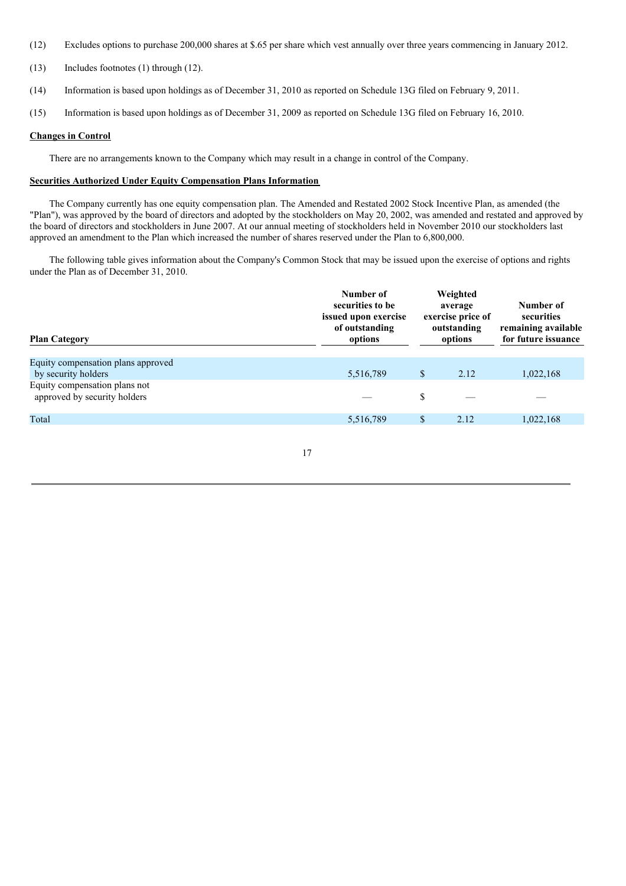- (12) Excludes options to purchase 200,000 shares at \$.65 per share which vest annually over three years commencing in January 2012.
- (13) Includes footnotes (1) through (12).
- (14) Information is based upon holdings as of December 31, 2010 as reported on Schedule 13G filed on February 9, 2011.
- (15) Information is based upon holdings as of December 31, 2009 as reported on Schedule 13G filed on February 16, 2010.

#### **Changes in Control**

There are no arrangements known to the Company which may result in a change in control of the Company.

# **Securities Authorized Under Equity Compensation Plans Information**

The Company currently has one equity compensation plan. The Amended and Restated 2002 Stock Incentive Plan, as amended (the "Plan"), was approved by the board of directors and adopted by the stockholders on May 20, 2002, was amended and restated and approved by the board of directors and stockholders in June 2007. At our annual meeting of stockholders held in November 2010 our stockholders last approved an amendment to the Plan which increased the number of shares reserved under the Plan to 6,800,000.

The following table gives information about the Company's Common Stock that may be issued upon the exercise of options and rights under the Plan as of December 31, 2010.

| <b>Plan Category</b>                                          | Number of<br>securities to be<br>issued upon exercise<br>of outstanding<br>options |    | Weighted<br>average<br>exercise price of<br>outstanding<br>options | Number of<br>securities<br>remaining available<br>for future issuance |  |
|---------------------------------------------------------------|------------------------------------------------------------------------------------|----|--------------------------------------------------------------------|-----------------------------------------------------------------------|--|
| Equity compensation plans approved                            |                                                                                    |    |                                                                    |                                                                       |  |
| by security holders                                           | 5,516,789                                                                          | S. | 2.12                                                               | 1,022,168                                                             |  |
| Equity compensation plans not<br>approved by security holders |                                                                                    | \$ |                                                                    |                                                                       |  |
| Total                                                         | 5,516,789                                                                          | \$ | 2.12                                                               | 1,022,168                                                             |  |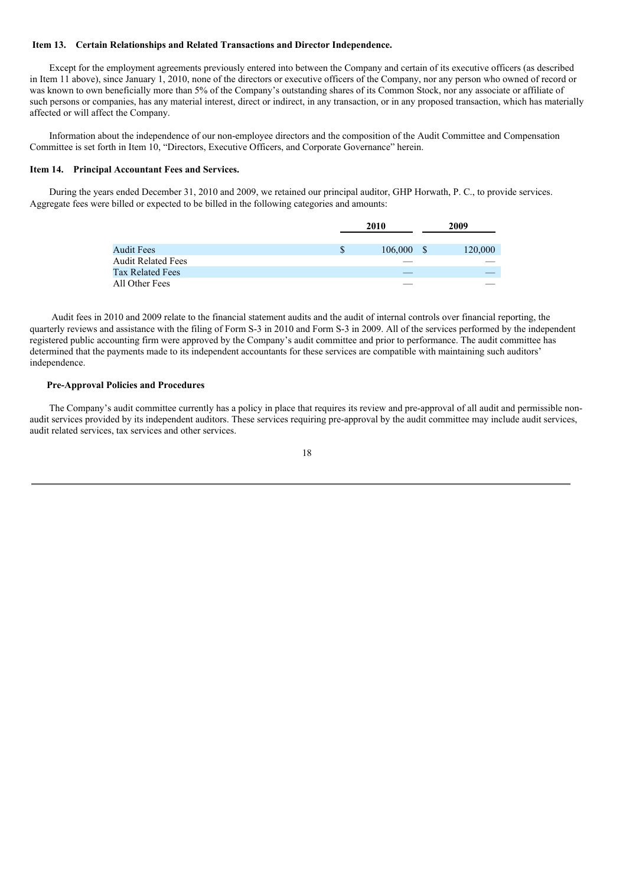#### **Item 13. Certain Relationships and Related Transactions and Director Independence.**

Except for the employment agreements previously entered into between the Company and certain of its executive officers (as described in Item 11 above), since January 1, 2010, none of the directors or executive officers of the Company, nor any person who owned of record or was known to own beneficially more than 5% of the Company's outstanding shares of its Common Stock, nor any associate or affiliate of such persons or companies, has any material interest, direct or indirect, in any transaction, or in any proposed transaction, which has materially affected or will affect the Company.

Information about the independence of our non-employee directors and the composition of the Audit Committee and Compensation Committee is set forth in Item 10, "Directors, Executive Officers, and Corporate Governance" herein.

#### **Item 14. Principal Accountant Fees and Services.**

During the years ended December 31, 2010 and 2009, we retained our principal auditor, GHP Horwath, P. C., to provide services. Aggregate fees were billed or expected to be billed in the following categories and amounts:

|                           | 2010          |     | 2009    |  |
|---------------------------|---------------|-----|---------|--|
|                           |               |     |         |  |
| <b>Audit Fees</b>         | \$<br>106,000 | - S | 120,000 |  |
| <b>Audit Related Fees</b> |               |     |         |  |
| <b>Tax Related Fees</b>   |               |     |         |  |
| All Other Fees            |               |     |         |  |

Audit fees in 2010 and 2009 relate to the financial statement audits and the audit of internal controls over financial reporting, the quarterly reviews and assistance with the filing of Form S-3 in 2010 and Form S-3 in 2009. All of the services performed by the independent registered public accounting firm were approved by the Company's audit committee and prior to performance. The audit committee has determined that the payments made to its independent accountants for these services are compatible with maintaining such auditors' independence.

#### **Pre-Approval Policies and Procedures**

The Company's audit committee currently has a policy in place that requires its review and pre-approval of all audit and permissible nonaudit services provided by its independent auditors. These services requiring pre-approval by the audit committee may include audit services, audit related services, tax services and other services.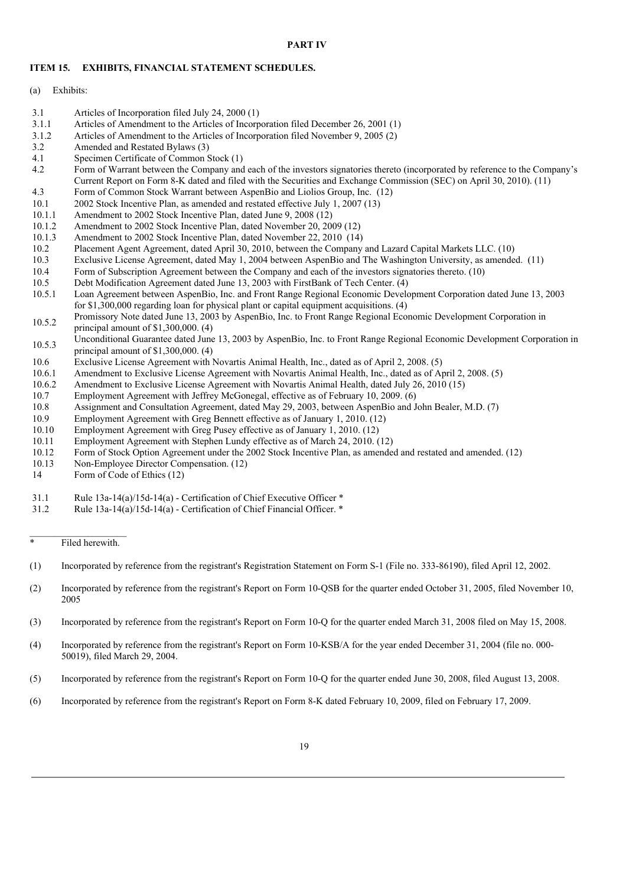#### **PART IV**

#### **ITEM 15. EXHIBITS, FINANCIAL STATEMENT SCHEDULES.**

- 3.1 Articles of Incorporation filed July 24, 2000 (1)
- 3.1.1 Articles of Amendment to the Articles of Incorporation filed December 26, 2001 (1)
- 3.1.2 Articles of Amendment to the Articles of Incorporation filed November 9, 2005 (2)
- 3.2 Amended and Restated Bylaws (3)
- 4.1 Specimen Certificate of Common Stock (1)<br>4.2 Form of Warrant between the Company and
- Form of Warrant between the Company and each of the investors signatories thereto (incorporated by reference to the Company's Current Report on Form 8-K dated and filed with the Securities and Exchange Commission (SEC) on April 30, 2010). (11)
- 4.3 Form of Common Stock Warrant between AspenBio and Liolios Group, Inc. (12)
- 10.1 2002 Stock Incentive Plan, as amended and restated effective July 1, 2007 (13)
- 10.1.1 Amendment to 2002 Stock Incentive Plan, dated June 9, 2008 (12)
- 
- 10.1.2 Amendment to 2002 Stock Incentive Plan, dated November 20, 2009 (12)<br>10.1.3 Amendment to 2002 Stock Incentive Plan, dated November 22, 2010 (14) Amendment to 2002 Stock Incentive Plan, dated November 22, 2010 (14)
- 10.2 Placement Agent Agreement, dated April 30, 2010, between the Company and Lazard Capital Markets LLC. (10)
- 10.3 Exclusive License Agreement, dated May 1, 2004 between AspenBio and The Washington University, as amended. (11)
- 10.4 Form of Subscription Agreement between the Company and each of the investors signatories thereto. (10)
- 10.5 Debt Modification Agreement dated June 13, 2003 with FirstBank of Tech Center. (4)
- 10.5.1 Loan Agreement between AspenBio, Inc. and Front Range Regional Economic Development Corporation dated June 13, 2003 for \$1,300,000 regarding loan for physical plant or capital equipment acquisitions. (4)
- 10.5.2 Promissory Note dated June 13, 2003 by AspenBio, Inc. to Front Range Regional Economic Development Corporation in principal amount of \$1,300,000. (4)
- 10.5.3 Unconditional Guarantee dated June 13, 2003 by AspenBio, Inc. to Front Range Regional Economic Development Corporation in principal amount of \$1,300,000. (4)
- 10.6 Exclusive License Agreement with Novartis Animal Health, Inc., dated as of April 2, 2008. (5)<br>10.6.1 Amendment to Exclusive License Agreement with Novartis Animal Health, Inc., dated as of Apr
- Amendment to Exclusive License Agreement with Novartis Animal Health, Inc., dated as of April 2, 2008. (5)
- 10.6.2 Amendment to Exclusive License Agreement with Novartis Animal Health, dated July 26, 2010 (15)
- 10.7 Employment Agreement with Jeffrey McGonegal, effective as of February 10, 2009. (6)
- 10.8 Assignment and Consultation Agreement, dated May 29, 2003, between AspenBio and John Bealer, M.D. (7)
- 10.9 Employment Agreement with Greg Bennett effective as of January 1, 2010. (12)
- 10.10 Employment Agreement with Greg Pusey effective as of January 1, 2010. (12)
- 10.11 Employment Agreement with Stephen Lundy effective as of March 24, 2010. (12)
- 10.12 Form of Stock Option Agreement under the 2002 Stock Incentive Plan, as amended and restated and amended. (12)
- 10.13 Non-Employee Director Compensation. (12)
- 14 Form of Code of Ethics (12)
- 31.1 Rule 13a-14(a)/15d-14(a) Certification of Chief Executive Officer \*
- 31.2 Rule 13a-14(a)/15d-14(a) Certification of Chief Financial Officer. \*

\* Filed herewith.

- (1) Incorporated by reference from the registrant's Registration Statement on Form S-1 (File no. 333-86190), filed April 12, 2002.
- (2) Incorporated by reference from the registrant's Report on Form 10-QSB for the quarter ended October 31, 2005, filed November 10, 2005
- (3) Incorporated by reference from the registrant's Report on Form 10-Q for the quarter ended March 31, 2008 filed on May 15, 2008.
- (4) Incorporated by reference from the registrant's Report on Form 10-KSB/A for the year ended December 31, 2004 (file no. 000- 50019), filed March 29, 2004.
- (5) Incorporated by reference from the registrant's Report on Form 10-Q for the quarter ended June 30, 2008, filed August 13, 2008.
- (6) Incorporated by reference from the registrant's Report on Form 8-K dated February 10, 2009, filed on February 17, 2009.

<sup>(</sup>a) Exhibits: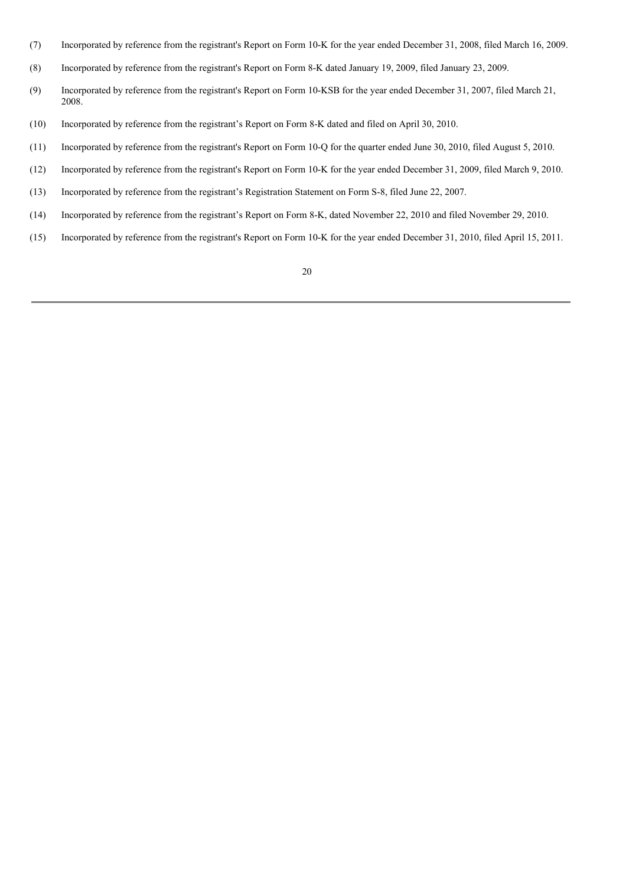- (7) Incorporated by reference from the registrant's Report on Form 10-K for the year ended December 31, 2008, filed March 16, 2009.
- (8) Incorporated by reference from the registrant's Report on Form 8-K dated January 19, 2009, filed January 23, 2009.
- (9) Incorporated by reference from the registrant's Report on Form 10-KSB for the year ended December 31, 2007, filed March 21, 2008.
- (10) Incorporated by reference from the registrant's Report on Form 8-K dated and filed on April 30, 2010.
- (11) Incorporated by reference from the registrant's Report on Form 10-Q for the quarter ended June 30, 2010, filed August 5, 2010.
- (12) Incorporated by reference from the registrant's Report on Form 10-K for the year ended December 31, 2009, filed March 9, 2010.
- (13) Incorporated by reference from the registrant's Registration Statement on Form S-8, filed June 22, 2007.
- (14) Incorporated by reference from the registrant's Report on Form 8-K, dated November 22, 2010 and filed November 29, 2010.
- (15) Incorporated by reference from the registrant's Report on Form 10-K for the year ended December 31, 2010, filed April 15, 2011.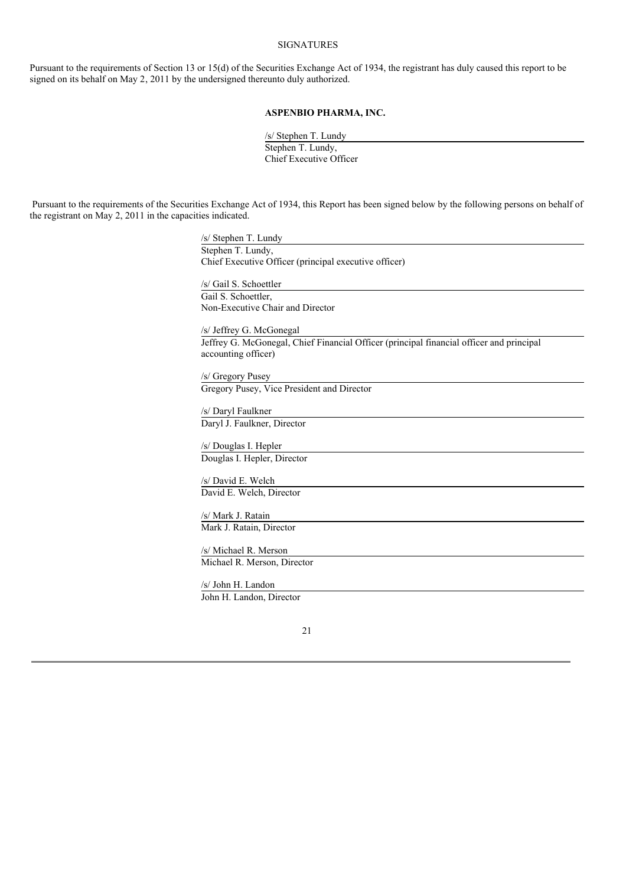# SIGNATURES

Pursuant to the requirements of Section 13 or 15(d) of the Securities Exchange Act of 1934, the registrant has duly caused this report to be signed on its behalf on May 2, 2011 by the undersigned thereunto duly authorized.

# **ASPENBIO PHARMA, INC.**

/s/ Stephen T. Lundy Stephen T. Lundy, Chief Executive Officer

Pursuant to the requirements of the Securities Exchange Act of 1934, this Report has been signed below by the following persons on behalf of the registrant on May 2, 2011 in the capacities indicated.

> /s/ Stephen T. Lundy Stephen T. Lundy, Chief Executive Officer (principal executive officer) /s/ Gail S. Schoettler Gail S. Schoettler, Non-Executive Chair and Director /s/ Jeffrey G. McGonegal Jeffrey G. McGonegal, Chief Financial Officer (principal financial officer and principal accounting officer) /s/ Gregory Pusey Gregory Pusey, Vice President and Director /s/ Daryl Faulkner Daryl J. Faulkner, Director /s/ Douglas I. Hepler Douglas I. Hepler, Director /s/ David E. Welch David E. Welch, Director /s/ Mark J. Ratain Mark J. Ratain, Director /s/ Michael R. Merson Michael R. Merson, Director /s/ John H. Landon John H. Landon, Director

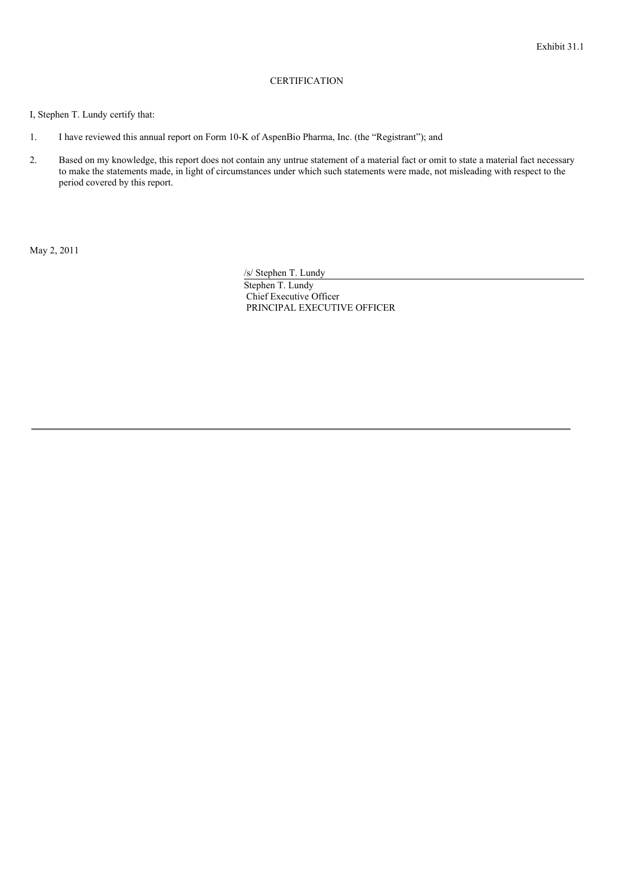# **CERTIFICATION**

I, Stephen T. Lundy certify that:

- 1. I have reviewed this annual report on Form 10-K of AspenBio Pharma, Inc. (the "Registrant"); and
- 2. Based on my knowledge, this report does not contain any untrue statement of a material fact or omit to state a material fact necessary to make the statements made, in light of circumstances under which such statements were made, not misleading with respect to the period covered by this report.

May 2, 2011

/s/ Stephen T. Lundy

Stephen T. Lundy Chief Executive Officer PRINCIPAL EXECUTIVE OFFICER